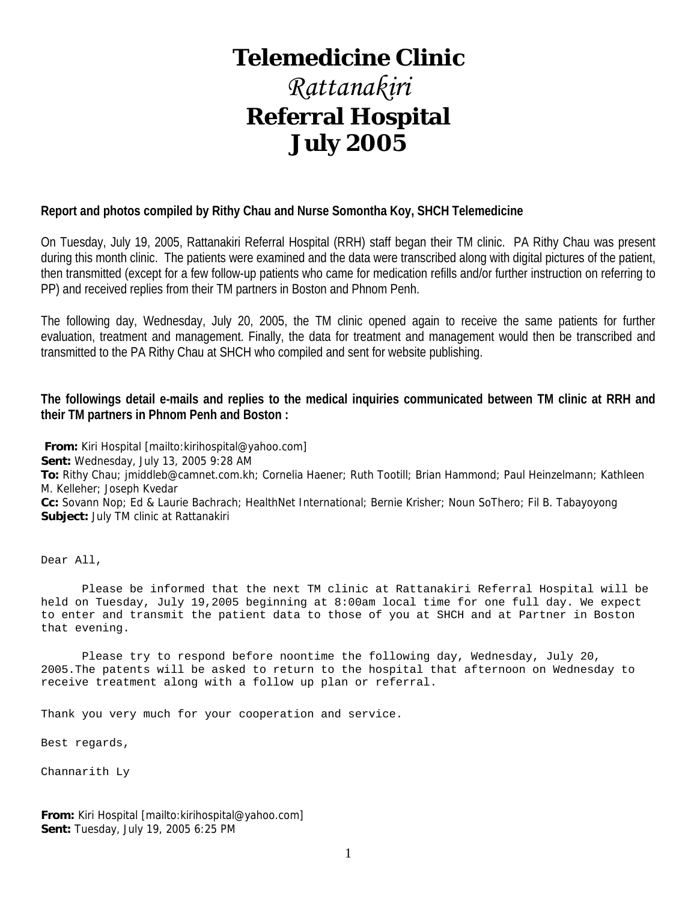# **Telemedicine Clinic**

# *Rattanakiri*  **Referral Hospital July 2005**

#### **Report and photos compiled by Rithy Chau and Nurse Somontha Koy, SHCH Telemedicine**

On Tuesday, July 19, 2005, Rattanakiri Referral Hospital (RRH) staff began their TM clinic. PA Rithy Chau was present during this month clinic. The patients were examined and the data were transcribed along with digital pictures of the patient, then transmitted (except for a few follow-up patients who came for medication refills and/or further instruction on referring to PP) and received replies from their TM partners in Boston and Phnom Penh.

The following day, Wednesday, July 20, 2005, the TM clinic opened again to receive the same patients for further evaluation, treatment and management. Finally, the data for treatment and management would then be transcribed and transmitted to the PA Rithy Chau at SHCH who compiled and sent for website publishing.

#### **The followings detail e-mails and replies to the medical inquiries communicated between TM clinic at RRH and their TM partners in Phnom Penh and Boston :**

**From:** Kiri Hospital [mailto:kirihospital@yahoo.com] **Sent:** Wednesday, July 13, 2005 9:28 AM **To:** Rithy Chau; jmiddleb@camnet.com.kh; Cornelia Haener; Ruth Tootill; Brian Hammond; Paul Heinzelmann; Kathleen M. Kelleher; Joseph Kvedar **Cc:** Sovann Nop; Ed & Laurie Bachrach; HealthNet International; Bernie Krisher; Noun SoThero; Fil B. Tabayoyong **Subject:** July TM clinic at Rattanakiri

Dear All,

 Please be informed that the next TM clinic at Rattanakiri Referral Hospital will be held on Tuesday, July 19,2005 beginning at 8:00am local time for one full day. We expect to enter and transmit the patient data to those of you at SHCH and at Partner in Boston that evening.

 Please try to respond before noontime the following day, Wednesday, July 20, 2005.The patents will be asked to return to the hospital that afternoon on Wednesday to receive treatment along with a follow up plan or referral.

Thank you very much for your cooperation and service.

Best regards,

Channarith Ly

**From:** Kiri Hospital [mailto:kirihospital@yahoo.com] **Sent:** Tuesday, July 19, 2005 6:25 PM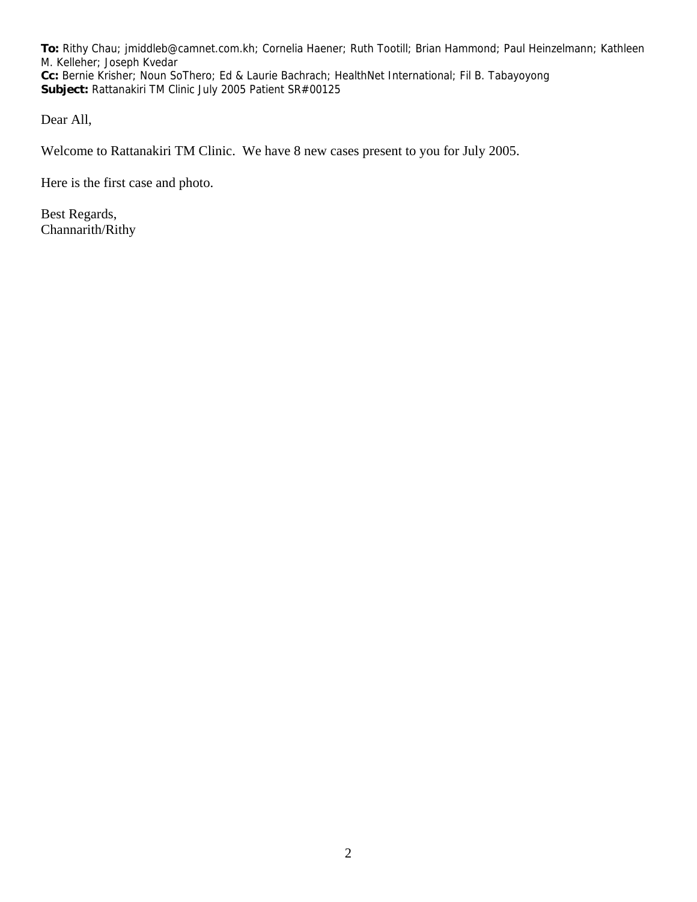**To:** Rithy Chau; jmiddleb@camnet.com.kh; Cornelia Haener; Ruth Tootill; Brian Hammond; Paul Heinzelmann; Kathleen M. Kelleher; Joseph Kvedar **Cc:** Bernie Krisher; Noun SoThero; Ed & Laurie Bachrach; HealthNet International; Fil B. Tabayoyong **Subject:** Rattanakiri TM Clinic July 2005 Patient SR#00125

Dear All,

Welcome to Rattanakiri TM Clinic. We have 8 new cases present to you for July 2005.

Here is the first case and photo.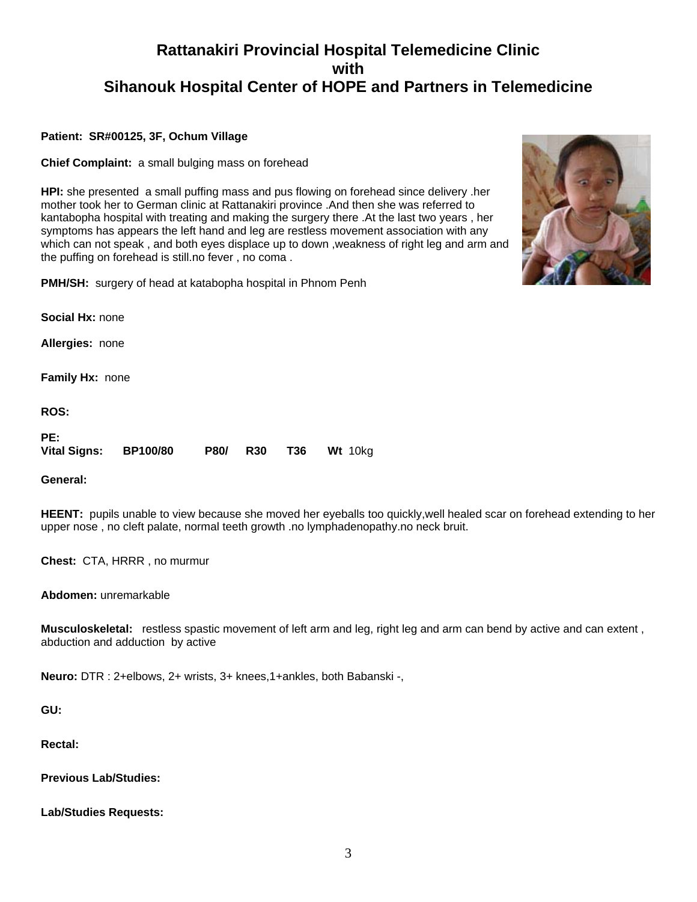#### **Patient: SR#00125, 3F, Ochum Village**

**Chief Complaint:** a small bulging mass on forehead

**HPI:** she presented a small puffing mass and pus flowing on forehead since delivery .her mother took her to German clinic at Rattanakiri province .And then she was referred to kantabopha hospital with treating and making the surgery there .At the last two years , her symptoms has appears the left hand and leg are restless movement association with any which can not speak , and both eyes displace up to down ,weakness of right leg and arm and the puffing on forehead is still.no fever , no coma .



**PMH/SH:** surgery of head at katabopha hospital in Phnom Penh

**Social Hx:** none

**Allergies:** none

**Family Hx:** none

**ROS:**

| PE:                 |                 |  |                      |
|---------------------|-----------------|--|----------------------|
| <b>Vital Signs:</b> | <b>BP100/80</b> |  | P80/ R30 T36 Wt 10kg |

**General:**

**HEENT:** pupils unable to view because she moved her eyeballs too quickly,well healed scar on forehead extending to her upper nose , no cleft palate, normal teeth growth .no lymphadenopathy.no neck bruit.

**Chest:** CTA, HRRR , no murmur

**Abdomen:** unremarkable

**Musculoskeletal:** restless spastic movement of left arm and leg, right leg and arm can bend by active and can extent , abduction and adduction by active

**Neuro:** DTR : 2+elbows, 2+ wrists, 3+ knees,1+ankles, both Babanski -,

**GU:**

**Rectal:**

**Previous Lab/Studies:**

**Lab/Studies Requests:**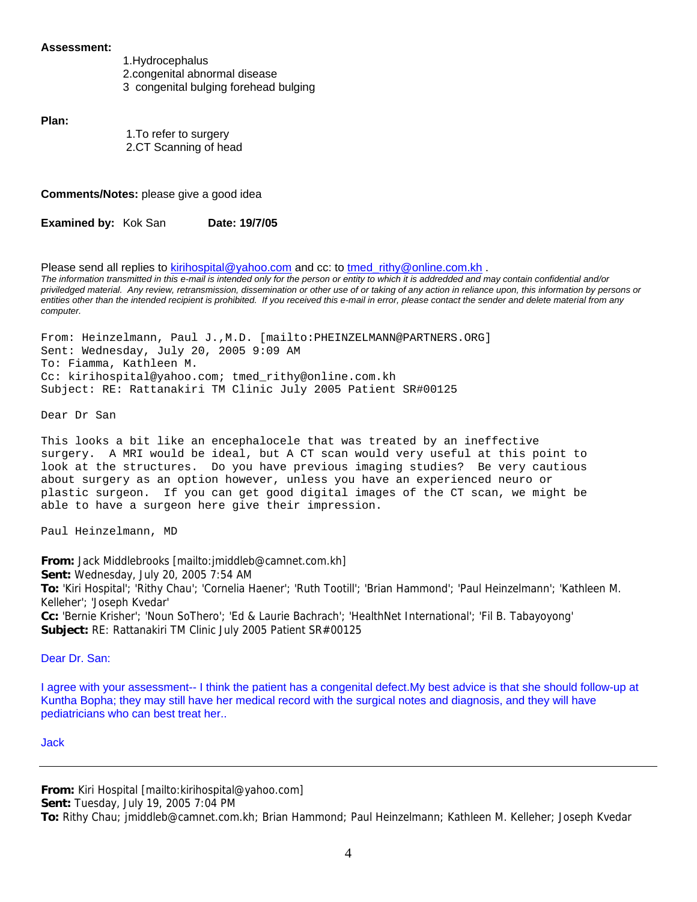#### **Assessment:**

1.Hydrocephalus 2.congenital abnormal disease 3 congenital bulging forehead bulging

**Plan:**

 1.To refer to surgery 2.CT Scanning of head

**Comments/Notes:** please give a good idea

**Examined by: Kok San Date: 19/7/05** 

Please send all replies to kirihospital@yahoo.com and cc: to tmed rithy@online.com.kh . *The information transmitted in this e-mail is intended only for the person or entity to which it is addredded and may contain confidential and/or priviledged material. Any review, retransmission, dissemination or other use of or taking of any action in reliance upon, this information by persons or entities other than the intended recipient is prohibited. If you received this e-mail in error, please contact the sender and delete material from any computer.*

From: Heinzelmann, Paul J.,M.D. [mailto:PHEINZELMANN@PARTNERS.ORG] Sent: Wednesday, July 20, 2005 9:09 AM To: Fiamma, Kathleen M. Cc: kirihospital@yahoo.com; tmed\_rithy@online.com.kh Subject: RE: Rattanakiri TM Clinic July 2005 Patient SR#00125

Dear Dr San

This looks a bit like an encephalocele that was treated by an ineffective surgery. A MRI would be ideal, but A CT scan would very useful at this point to look at the structures. Do you have previous imaging studies? Be very cautious about surgery as an option however, unless you have an experienced neuro or plastic surgeon. If you can get good digital images of the CT scan, we might be able to have a surgeon here give their impression.

Paul Heinzelmann, MD

**From:** Jack Middlebrooks [mailto:jmiddleb@camnet.com.kh] **Sent:** Wednesday, July 20, 2005 7:54 AM **To:** 'Kiri Hospital'; 'Rithy Chau'; 'Cornelia Haener'; 'Ruth Tootill'; 'Brian Hammond'; 'Paul Heinzelmann'; 'Kathleen M. Kelleher'; 'Joseph Kvedar' **Cc:** 'Bernie Krisher'; 'Noun SoThero'; 'Ed & Laurie Bachrach'; 'HealthNet International'; 'Fil B. Tabayoyong' **Subject:** RE: Rattanakiri TM Clinic July 2005 Patient SR#00125

Dear Dr. San:

I agree with your assessment-- I think the patient has a congenital defect.My best advice is that she should follow-up at Kuntha Bopha; they may still have her medical record with the surgical notes and diagnosis, and they will have pediatricians who can best treat her..

Jack

**From:** Kiri Hospital [mailto:kirihospital@yahoo.com]

**Sent:** Tuesday, July 19, 2005 7:04 PM

**To:** Rithy Chau; jmiddleb@camnet.com.kh; Brian Hammond; Paul Heinzelmann; Kathleen M. Kelleher; Joseph Kvedar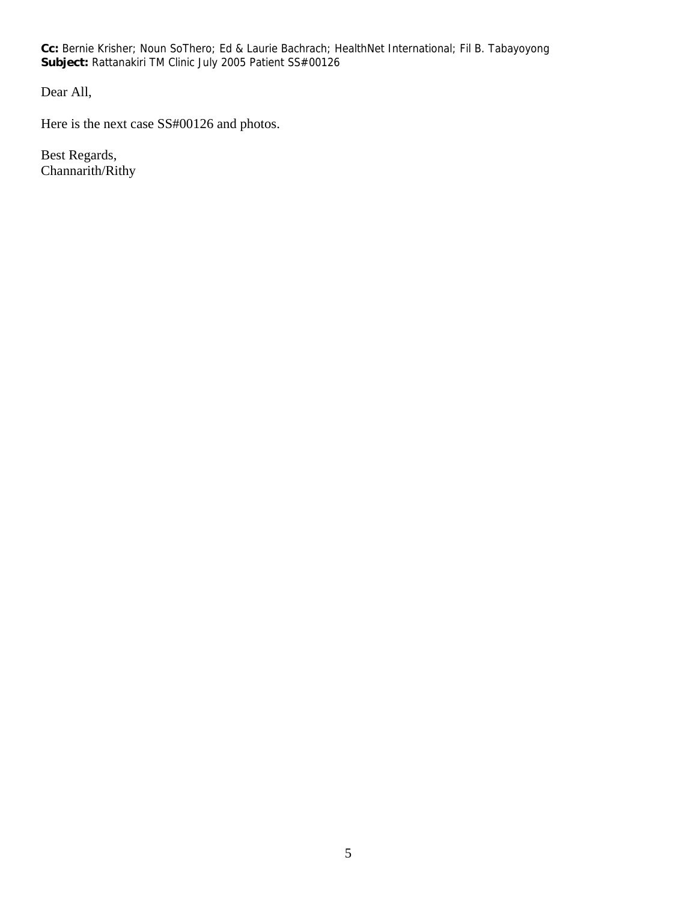**Cc:** Bernie Krisher; Noun SoThero; Ed & Laurie Bachrach; HealthNet International; Fil B. Tabayoyong **Subject:** Rattanakiri TM Clinic July 2005 Patient SS#00126

Dear All,

Here is the next case SS#00126 and photos.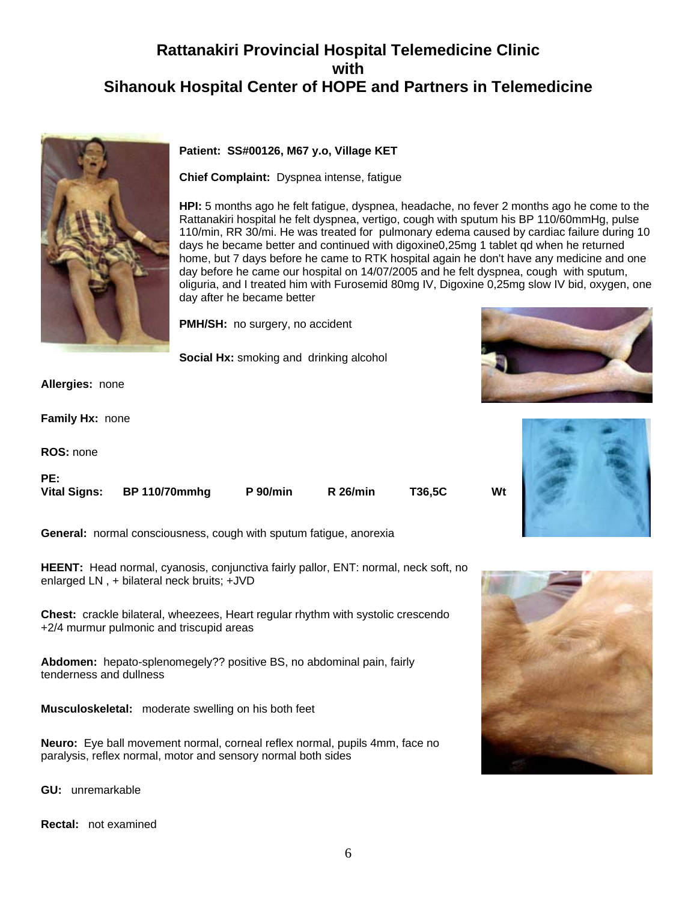

#### **Patient: SS#00126, M67 y.o, Village KET**

**Chief Complaint:** Dyspnea intense, fatigue

**HPI:** 5 months ago he felt fatigue, dyspnea, headache, no fever 2 months ago he come to the Rattanakiri hospital he felt dyspnea, vertigo, cough with sputum his BP 110/60mmHg, pulse 110/min, RR 30/mi. He was treated for pulmonary edema caused by cardiac failure during 10 days he became better and continued with digoxine0,25mg 1 tablet qd when he returned home, but 7 days before he came to RTK hospital again he don't have any medicine and one day before he came our hospital on 14/07/2005 and he felt dyspnea, cough with sputum, oliguria, and I treated him with Furosemid 80mg IV, Digoxine 0,25mg slow IV bid, oxygen, one day after he became better

**PMH/SH:** no surgery, no accident

**Social Hx:** smoking and drinking alcohol

**Allergies:** none

**Family Hx:** none

**ROS:** none

**PE:** 

| гc. |                            |                 |                 |        |    |
|-----|----------------------------|-----------------|-----------------|--------|----|
|     | Vital Signs: BP 110/70mmhg | <b>P</b> 90/min | <b>R</b> 26/min | T36,5C | Wt |
|     |                            |                 |                 |        |    |

**General:** normal consciousness, cough with sputum fatigue, anorexia

**HEENT:** Head normal, cyanosis, conjunctiva fairly pallor, ENT: normal, neck soft, no enlarged LN , + bilateral neck bruits; +JVD

**Chest:** crackle bilateral, wheezees, Heart regular rhythm with systolic crescendo +2/4 murmur pulmonic and triscupid areas

**Abdomen:** hepato-splenomegely?? positive BS, no abdominal pain, fairly tenderness and dullness

**Musculoskeletal:** moderate swelling on his both feet

**Neuro:** Eye ball movement normal, corneal reflex normal, pupils 4mm, face no paralysis, reflex normal, motor and sensory normal both sides

**GU:** unremarkable

**Rectal:** not examined





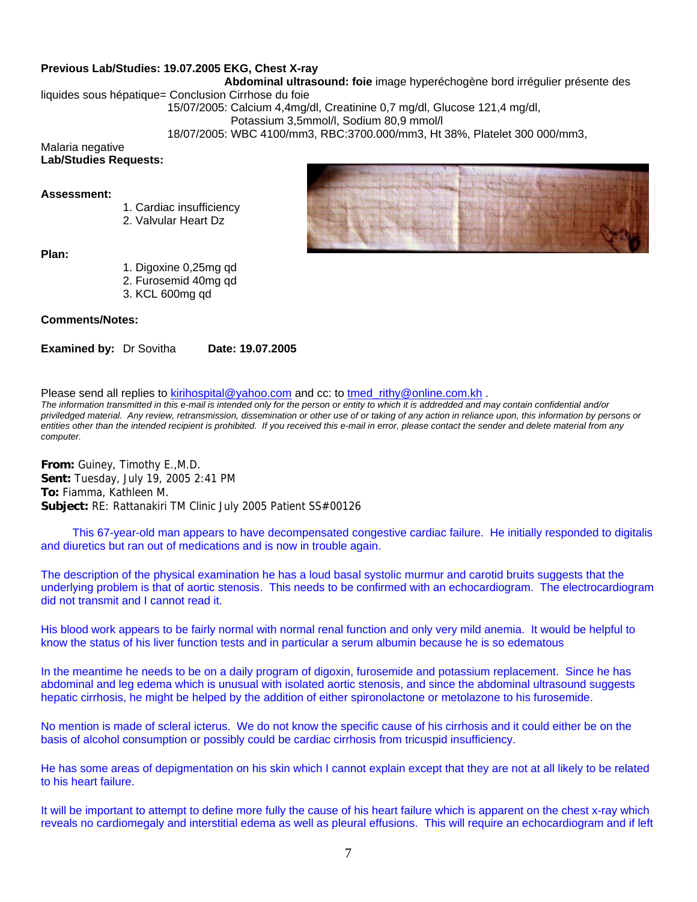#### **Previous Lab/Studies: 19.07.2005 EKG, Chest X-ray**

 **Abdominal ultrasound: foie** image hyperéchogène bord irrégulier présente des

liquides sous hépatique= Conclusion Cirrhose du foie

15/07/2005: Calcium 4,4mg/dl, Creatinine 0,7 mg/dl, Glucose 121,4 mg/dl,

Potassium 3,5mmol/l, Sodium 80,9 mmol/l

18/07/2005: WBC 4100/mm3, RBC:3700.000/mm3, Ht 38%, Platelet 300 000/mm3,

#### Malaria negative **Lab/Studies Requests:**

#### **Assessment:**

- 1. Cardiac insufficiency
- 2. Valvular Heart Dz

#### **Plan:**

- 1. Digoxine 0,25mg qd
- 2. Furosemid 40mg qd
- 3. KCL 600mg qd

#### **Comments/Notes:**

**Examined by: Dr Sovitha Date: 19.07.2005** 

Please send all replies to kirihospital@yahoo.com and cc: to tmed rithy@online.com.kh .

*The information transmitted in this e-mail is intended only for the person or entity to which it is addredded and may contain confidential and/or priviledged material. Any review, retransmission, dissemination or other use of or taking of any action in reliance upon, this information by persons or entities other than the intended recipient is prohibited. If you received this e-mail in error, please contact the sender and delete material from any computer.*

**From:** Guiney, Timothy E.,M.D. **Sent:** Tuesday, July 19, 2005 2:41 PM **To:** Fiamma, Kathleen M. **Subject:** RE: Rattanakiri TM Clinic July 2005 Patient SS#00126

 This 67-year-old man appears to have decompensated congestive cardiac failure. He initially responded to digitalis and diuretics but ran out of medications and is now in trouble again.

The description of the physical examination he has a loud basal systolic murmur and carotid bruits suggests that the underlying problem is that of aortic stenosis. This needs to be confirmed with an echocardiogram. The electrocardiogram did not transmit and I cannot read it.

His blood work appears to be fairly normal with normal renal function and only very mild anemia. It would be helpful to know the status of his liver function tests and in particular a serum albumin because he is so edematous

In the meantime he needs to be on a daily program of digoxin, furosemide and potassium replacement. Since he has abdominal and leg edema which is unusual with isolated aortic stenosis, and since the abdominal ultrasound suggests hepatic cirrhosis, he might be helped by the addition of either spironolactone or metolazone to his furosemide.

No mention is made of scleral icterus. We do not know the specific cause of his cirrhosis and it could either be on the basis of alcohol consumption or possibly could be cardiac cirrhosis from tricuspid insufficiency.

He has some areas of depigmentation on his skin which I cannot explain except that they are not at all likely to be related to his heart failure.

It will be important to attempt to define more fully the cause of his heart failure which is apparent on the chest x-ray which reveals no cardiomegaly and interstitial edema as well as pleural effusions. This will require an echocardiogram and if left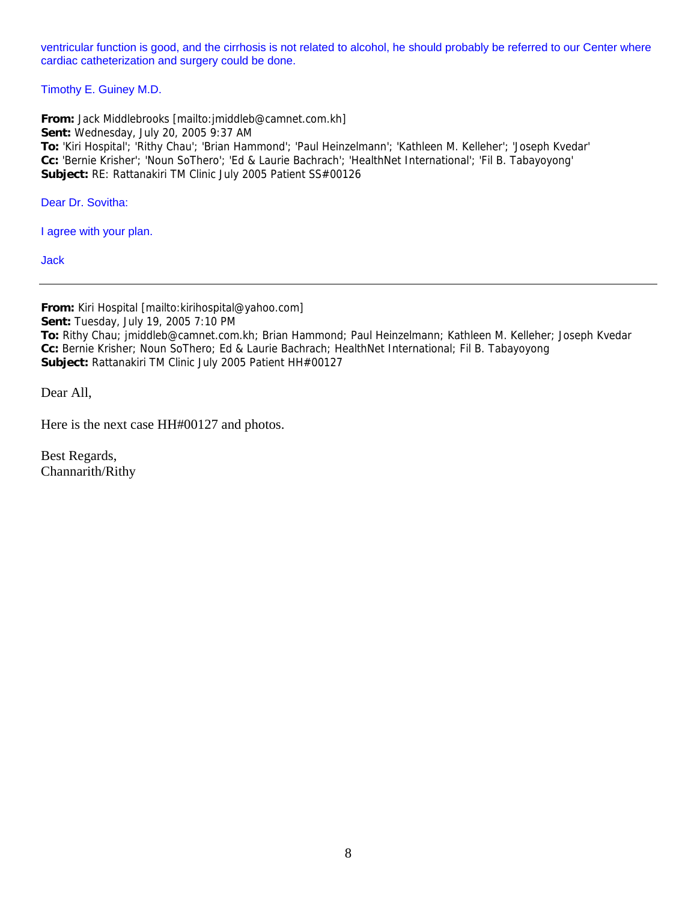ventricular function is good, and the cirrhosis is not related to alcohol, he should probably be referred to our Center where cardiac catheterization and surgery could be done.

Timothy E. Guiney M.D.

**From:** Jack Middlebrooks [mailto:jmiddleb@camnet.com.kh] **Sent:** Wednesday, July 20, 2005 9:37 AM **To:** 'Kiri Hospital'; 'Rithy Chau'; 'Brian Hammond'; 'Paul Heinzelmann'; 'Kathleen M. Kelleher'; 'Joseph Kvedar' **Cc:** 'Bernie Krisher'; 'Noun SoThero'; 'Ed & Laurie Bachrach'; 'HealthNet International'; 'Fil B. Tabayoyong' **Subject:** RE: Rattanakiri TM Clinic July 2005 Patient SS#00126

Dear Dr. Sovitha:

I agree with your plan.

Jack

**From:** Kiri Hospital [mailto:kirihospital@yahoo.com] **Sent:** Tuesday, July 19, 2005 7:10 PM **To:** Rithy Chau; jmiddleb@camnet.com.kh; Brian Hammond; Paul Heinzelmann; Kathleen M. Kelleher; Joseph Kvedar **Cc:** Bernie Krisher; Noun SoThero; Ed & Laurie Bachrach; HealthNet International; Fil B. Tabayoyong **Subject:** Rattanakiri TM Clinic July 2005 Patient HH#00127

Dear All,

Here is the next case HH#00127 and photos.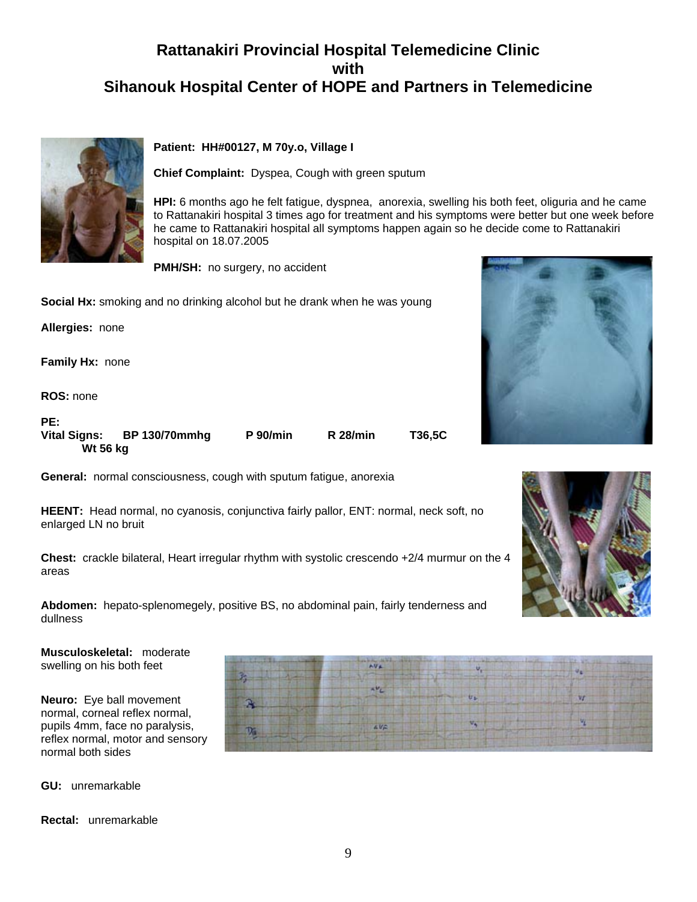

#### **Patient: HH#00127, M 70y.o, Village I**

**Chief Complaint:** Dyspea, Cough with green sputum

**HPI:** 6 months ago he felt fatigue, dyspnea, anorexia, swelling his both feet, oliguria and he came to Rattanakiri hospital 3 times ago for treatment and his symptoms were better but one week before he came to Rattanakiri hospital all symptoms happen again so he decide come to Rattanakiri hospital on 18.07.2005

**PMH/SH:** no surgery, no accident

**Social Hx:** smoking and no drinking alcohol but he drank when he was young

**Allergies:** none

**Family Hx:** none

**ROS:** none

| PE:                 |                      |                 |                 |        |
|---------------------|----------------------|-----------------|-----------------|--------|
| <b>Vital Signs:</b> | <b>BP 130/70mmhg</b> | <b>P</b> 90/min | <b>R</b> 28/min | T36.5C |
| Wt 56 kg            |                      |                 |                 |        |

**General:** normal consciousness, cough with sputum fatigue, anorexia

**HEENT:** Head normal, no cyanosis, conjunctiva fairly pallor, ENT: normal, neck soft, no enlarged LN no bruit

**Chest:** crackle bilateral, Heart irregular rhythm with systolic crescendo +2/4 murmur on the 4 areas

**Abdomen:** hepato-splenomegely, positive BS, no abdominal pain, fairly tenderness and dullness

**Musculoskeletal:** moderate swelling on his both feet

**Neuro:** Eye ball movement normal, corneal reflex normal, pupils 4mm, face no paralysis, reflex normal, motor and sensory normal both sides

**GU:** unremarkable

**Rectal:** unremarkable





9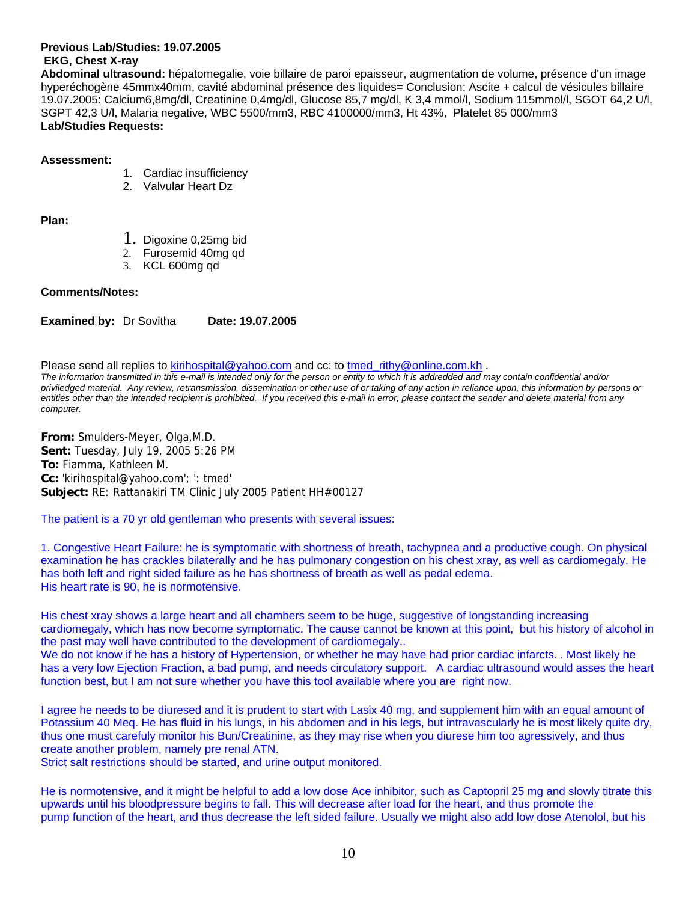**Previous Lab/Studies: 19.07.2005 EKG, Chest X-ray** 

**Abdominal ultrasound:** hépatomegalie, voie billaire de paroi epaisseur, augmentation de volume, présence d'un image hyperéchogène 45mmx40mm, cavité abdominal présence des liquides= Conclusion: Ascite + calcul de vésicules billaire 19.07.2005: Calcium6,8mg/dl, Creatinine 0,4mg/dl, Glucose 85,7 mg/dl, K 3,4 mmol/l, Sodium 115mmol/l, SGOT 64,2 U/l, SGPT 42,3 U/l, Malaria negative, WBC 5500/mm3, RBC 4100000/mm3, Ht 43%, Platelet 85 000/mm3 **Lab/Studies Requests:**

#### **Assessment:**

- 1. Cardiac insufficiency
- 2. Valvular Heart Dz

**Plan:**

- 1. Digoxine 0,25mg bid
- 2. Furosemid 40mg qd
- 3. KCL 600mg qd

#### **Comments/Notes:**

**Examined by:** Dr Sovitha **Date: 19.07.2005**

Please send all replies to kirihospital@yahoo.com and cc: to tmed\_rithy@online.com.kh . *The information transmitted in this e-mail is intended only for the person or entity to which it is addredded and may contain confidential and/or* 

*priviledged material. Any review, retransmission, dissemination or other use of or taking of any action in reliance upon, this information by persons or entities other than the intended recipient is prohibited. If you received this e-mail in error, please contact the sender and delete material from any computer.*

**From:** Smulders-Meyer, Olga,M.D. **Sent:** Tuesday, July 19, 2005 5:26 PM **To:** Fiamma, Kathleen M. **Cc:** 'kirihospital@yahoo.com'; ': tmed' **Subject:** RE: Rattanakiri TM Clinic July 2005 Patient HH#00127

The patient is a 70 yr old gentleman who presents with several issues:

1. Congestive Heart Failure: he is symptomatic with shortness of breath, tachypnea and a productive cough. On physical examination he has crackles bilaterally and he has pulmonary congestion on his chest xray, as well as cardiomegaly. He has both left and right sided failure as he has shortness of breath as well as pedal edema. His heart rate is 90, he is normotensive.

His chest xray shows a large heart and all chambers seem to be huge, suggestive of longstanding increasing cardiomegaly, which has now become symptomatic. The cause cannot be known at this point, but his history of alcohol in the past may well have contributed to the development of cardiomegaly..

We do not know if he has a history of Hypertension, or whether he may have had prior cardiac infarcts. . Most likely he has a very low Ejection Fraction, a bad pump, and needs circulatory support. A cardiac ultrasound would asses the heart function best, but I am not sure whether you have this tool available where you are right now.

I agree he needs to be diuresed and it is prudent to start with Lasix 40 mg, and supplement him with an equal amount of Potassium 40 Meq. He has fluid in his lungs, in his abdomen and in his legs, but intravascularly he is most likely quite dry, thus one must carefuly monitor his Bun/Creatinine, as they may rise when you diurese him too agressively, and thus create another problem, namely pre renal ATN.

Strict salt restrictions should be started, and urine output monitored.

He is normotensive, and it might be helpful to add a low dose Ace inhibitor, such as Captopril 25 mg and slowly titrate this upwards until his bloodpressure begins to fall. This will decrease after load for the heart, and thus promote the pump function of the heart, and thus decrease the left sided failure. Usually we might also add low dose Atenolol, but his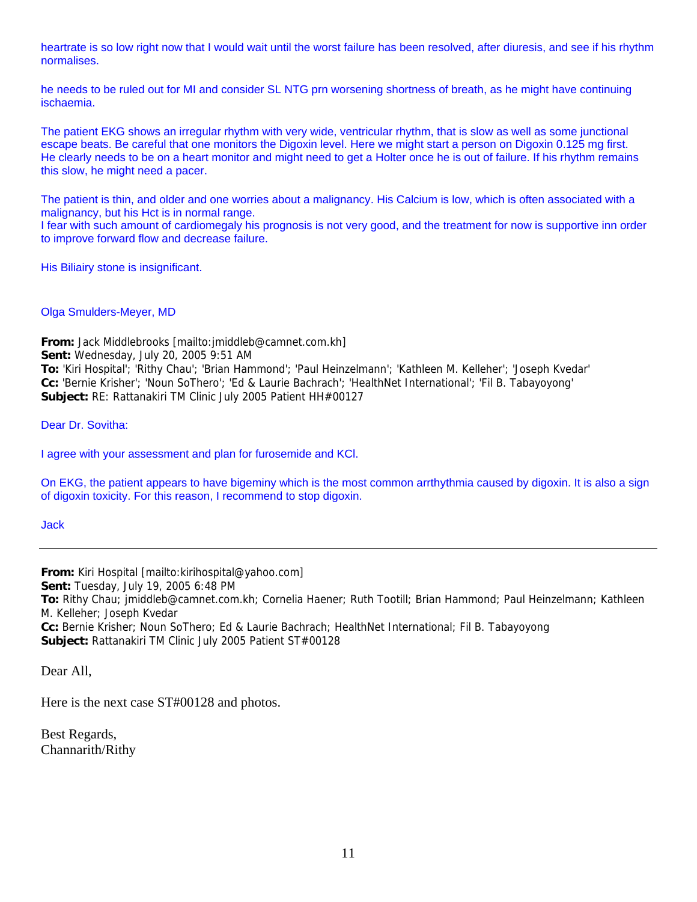heartrate is so low right now that I would wait until the worst failure has been resolved, after diuresis, and see if his rhythm normalises.

he needs to be ruled out for MI and consider SL NTG prn worsening shortness of breath, as he might have continuing ischaemia.

The patient EKG shows an irregular rhythm with very wide, ventricular rhythm, that is slow as well as some junctional escape beats. Be careful that one monitors the Digoxin level. Here we might start a person on Digoxin 0.125 mg first. He clearly needs to be on a heart monitor and might need to get a Holter once he is out of failure. If his rhythm remains this slow, he might need a pacer.

The patient is thin, and older and one worries about a malignancy. His Calcium is low, which is often associated with a malignancy, but his Hct is in normal range.

I fear with such amount of cardiomegaly his prognosis is not very good, and the treatment for now is supportive inn order to improve forward flow and decrease failure.

His Biliairy stone is insignificant.

Olga Smulders-Meyer, MD

**From:** Jack Middlebrooks [mailto:jmiddleb@camnet.com.kh] **Sent:** Wednesday, July 20, 2005 9:51 AM **To:** 'Kiri Hospital'; 'Rithy Chau'; 'Brian Hammond'; 'Paul Heinzelmann'; 'Kathleen M. Kelleher'; 'Joseph Kvedar' **Cc:** 'Bernie Krisher'; 'Noun SoThero'; 'Ed & Laurie Bachrach'; 'HealthNet International'; 'Fil B. Tabayoyong' **Subject:** RE: Rattanakiri TM Clinic July 2005 Patient HH#00127

Dear Dr. Sovitha:

I agree with your assessment and plan for furosemide and KCl.

On EKG, the patient appears to have bigeminy which is the most common arrthythmia caused by digoxin. It is also a sign of digoxin toxicity. For this reason, I recommend to stop digoxin.

Jack

**From:** Kiri Hospital [mailto:kirihospital@yahoo.com] **Sent:** Tuesday, July 19, 2005 6:48 PM **To:** Rithy Chau; jmiddleb@camnet.com.kh; Cornelia Haener; Ruth Tootill; Brian Hammond; Paul Heinzelmann; Kathleen M. Kelleher; Joseph Kvedar **Cc:** Bernie Krisher; Noun SoThero; Ed & Laurie Bachrach; HealthNet International; Fil B. Tabayoyong **Subject:** Rattanakiri TM Clinic July 2005 Patient ST#00128

Dear All,

Here is the next case ST#00128 and photos.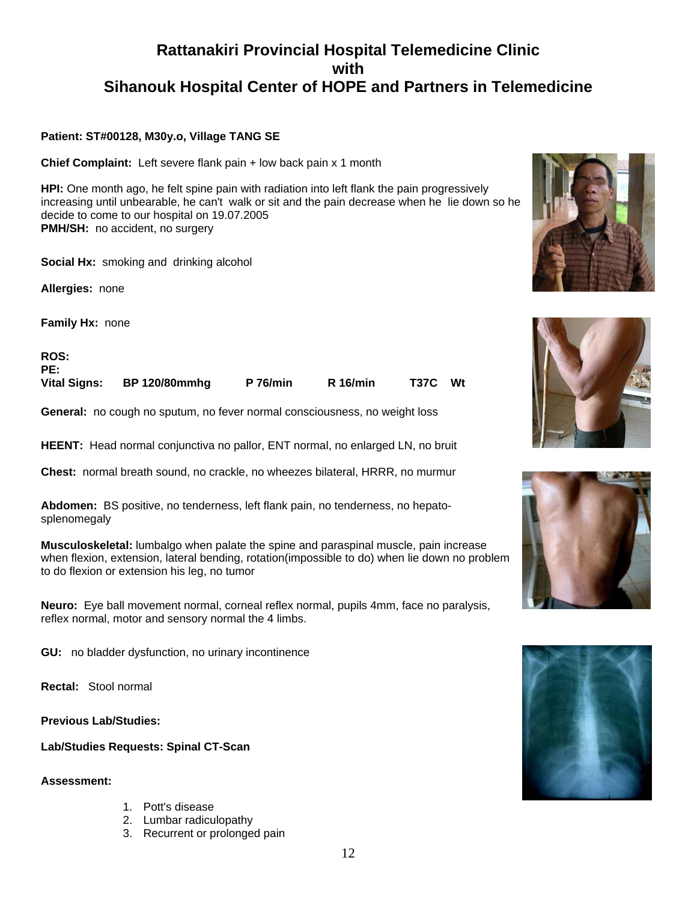#### **Patient: ST#00128, M30y.o, Village TANG SE**

**Chief Complaint:** Left severe flank pain + low back pain x 1 month

**HPI:** One month ago, he felt spine pain with radiation into left flank the pain progressively increasing until unbearable, he can't walk or sit and the pain decrease when he lie down so he decide to come to our hospital on 19.07.2005 **PMH/SH:** no accident, no surgery

**Social Hx:** smoking and drinking alcohol

**Allergies:** none

**Family Hx:** none

**ROS:** PE:<br>Vital Signs: **Vital Signs: BP 120/80mmhg P 76/min R 16/min T37C Wt** 

**General:** no cough no sputum, no fever normal consciousness, no weight loss

**HEENT:** Head normal conjunctiva no pallor, ENT normal, no enlarged LN, no bruit

**Chest:** normal breath sound, no crackle, no wheezes bilateral, HRRR, no murmur

**Abdomen:** BS positive, no tenderness, left flank pain, no tenderness, no hepatosplenomegaly

**Musculoskeletal:** lumbalgo when palate the spine and paraspinal muscle, pain increase when flexion, extension, lateral bending, rotation(impossible to do) when lie down no problem to do flexion or extension his leg, no tumor

**Neuro:** Eye ball movement normal, corneal reflex normal, pupils 4mm, face no paralysis, reflex normal, motor and sensory normal the 4 limbs.

**GU:** no bladder dysfunction, no urinary incontinence

**Rectal:** Stool normal

**Previous Lab/Studies:**  İ.

**Lab/Studies Requests: Spinal CT-Scan** 

**Assessment:**

- 1. Pott's disease
- 2. Lumbar radiculopathy
- 3. Recurrent or prolonged pain







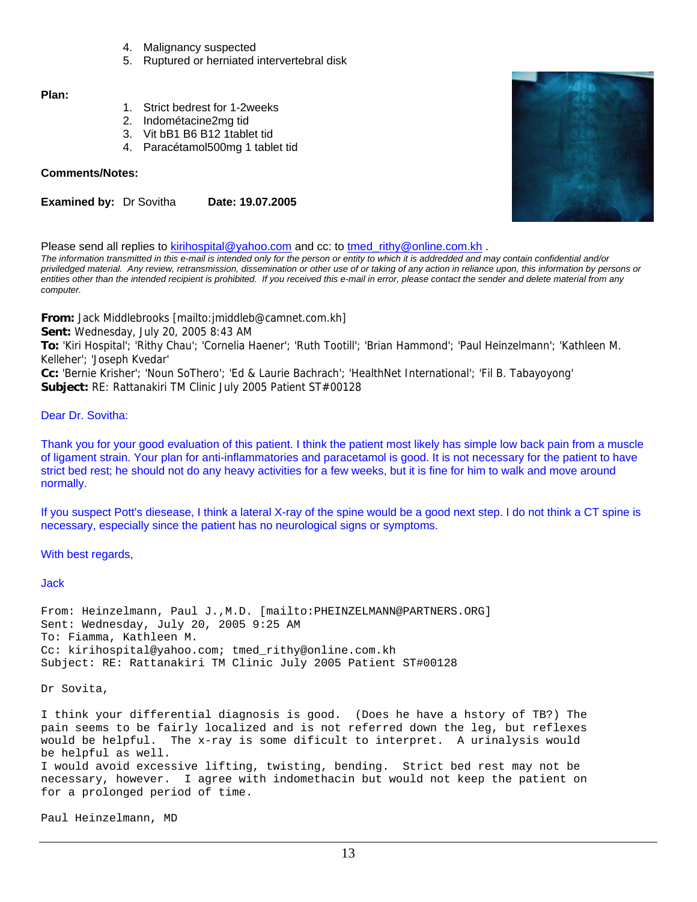- 4. Malignancy suspected
- 5. Ruptured or herniated intervertebral disk

#### **Plan:**

- 1. Strict bedrest for 1-2weeks
- 2. Indométacine2mg tid
- 3. Vit bB1 B6 B12 1tablet tid
- 4. Paracétamol500mg 1 tablet tid

#### **Comments/Notes:**

**Examined by: Dr Sovitha Date: 19.07.2005** 

Please send all replies to kirihospital@yahoo.com and cc: to tmed\_rithy@online.com.kh .

*The information transmitted in this e-mail is intended only for the person or entity to which it is addredded and may contain confidential and/or priviledged material. Any review, retransmission, dissemination or other use of or taking of any action in reliance upon, this information by persons or entities other than the intended recipient is prohibited. If you received this e-mail in error, please contact the sender and delete material from any computer.*

**From:** Jack Middlebrooks [mailto:jmiddleb@camnet.com.kh]

**Sent:** Wednesday, July 20, 2005 8:43 AM

**To:** 'Kiri Hospital'; 'Rithy Chau'; 'Cornelia Haener'; 'Ruth Tootill'; 'Brian Hammond'; 'Paul Heinzelmann'; 'Kathleen M. Kelleher'; 'Joseph Kvedar'

**Cc:** 'Bernie Krisher'; 'Noun SoThero'; 'Ed & Laurie Bachrach'; 'HealthNet International'; 'Fil B. Tabayoyong' **Subject:** RE: Rattanakiri TM Clinic July 2005 Patient ST#00128

#### Dear Dr. Sovitha:

Thank you for your good evaluation of this patient. I think the patient most likely has simple low back pain from a muscle of ligament strain. Your plan for anti-inflammatories and paracetamol is good. It is not necessary for the patient to have strict bed rest; he should not do any heavy activities for a few weeks, but it is fine for him to walk and move around normally.

If you suspect Pott's diesease, I think a lateral X-ray of the spine would be a good next step. I do not think a CT spine is necessary, especially since the patient has no neurological signs or symptoms.

With best regards,

Jack

From: Heinzelmann, Paul J.,M.D. [mailto:PHEINZELMANN@PARTNERS.ORG] Sent: Wednesday, July 20, 2005 9:25 AM To: Fiamma, Kathleen M. Cc: kirihospital@yahoo.com; tmed\_rithy@online.com.kh Subject: RE: Rattanakiri TM Clinic July 2005 Patient ST#00128

Dr Sovita,

I think your differential diagnosis is good. (Does he have a hstory of TB?) The pain seems to be fairly localized and is not referred down the leg, but reflexes would be helpful. The x-ray is some dificult to interpret. A urinalysis would be helpful as well. I would avoid excessive lifting, twisting, bending. Strict bed rest may not be necessary, however. I agree with indomethacin but would not keep the patient on for a prolonged period of time.

Paul Heinzelmann, MD

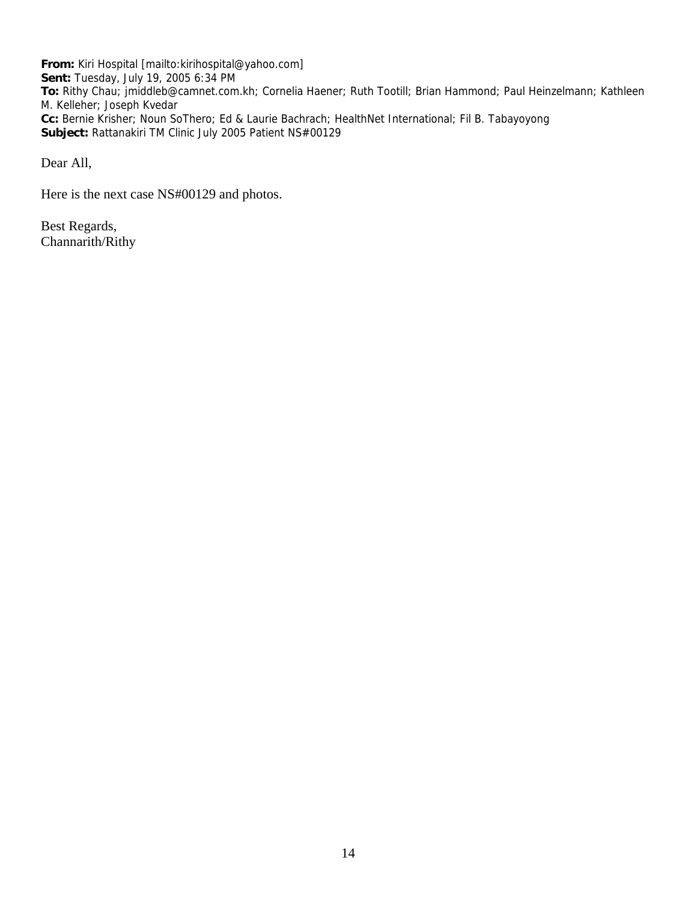**From:** Kiri Hospital [mailto:kirihospital@yahoo.com] **Sent:** Tuesday, July 19, 2005 6:34 PM **To:** Rithy Chau; jmiddleb@camnet.com.kh; Cornelia Haener; Ruth Tootill; Brian Hammond; Paul Heinzelmann; Kathleen M. Kelleher; Joseph Kvedar **Cc:** Bernie Krisher; Noun SoThero; Ed & Laurie Bachrach; HealthNet International; Fil B. Tabayoyong **Subject:** Rattanakiri TM Clinic July 2005 Patient NS#00129

Dear All,

Here is the next case NS#00129 and photos.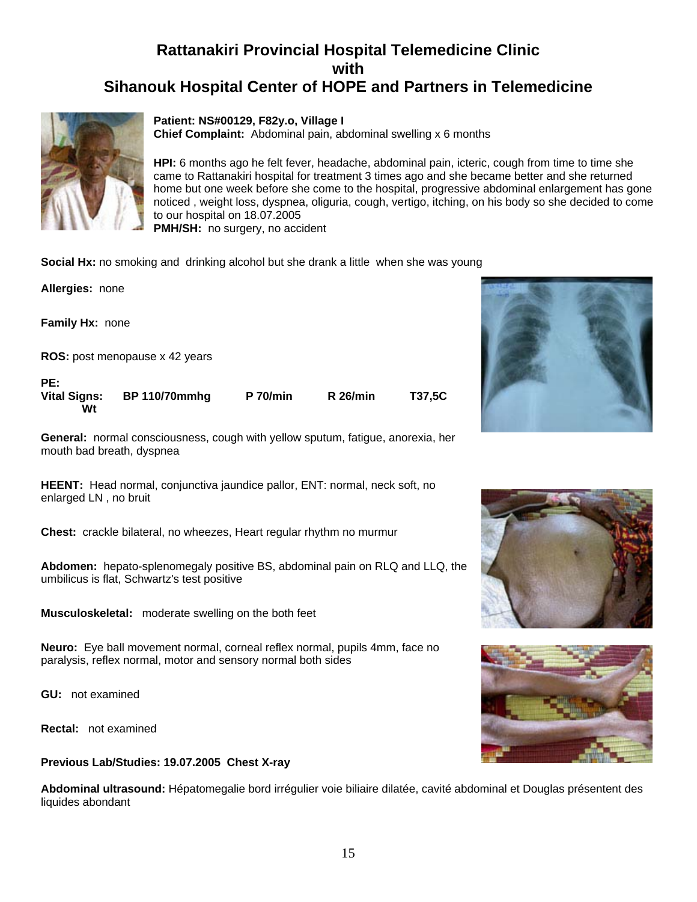

#### **Patient: NS#00129, F82y.o, Village I**

**Chief Complaint:** Abdominal pain, abdominal swelling x 6 months

**HPI:** 6 months ago he felt fever, headache, abdominal pain, icteric, cough from time to time she came to Rattanakiri hospital for treatment 3 times ago and she became better and she returned home but one week before she come to the hospital, progressive abdominal enlargement has gone noticed , weight loss, dyspnea, oliguria, cough, vertigo, itching, on his body so she decided to come to our hospital on 18.07.2005 **PMH/SH:** no surgery, no accident

**Social Hx:** no smoking and drinking alcohol but she drank a little when she was young

| Allergies: none                  |                                       |                 |                 |        |
|----------------------------------|---------------------------------------|-----------------|-----------------|--------|
| <b>Family Hx: none</b>           |                                       |                 |                 |        |
|                                  | <b>ROS:</b> post menopause x 42 years |                 |                 |        |
| PE:<br><b>Vital Signs:</b><br>Wt | <b>BP 110/70mmhg</b>                  | <b>P</b> 70/min | <b>R</b> 26/min | T37,5C |

**General:** normal consciousness, cough with yellow sputum, fatigue, anorexia, her mouth bad breath, dyspnea

**HEENT:** Head normal, conjunctiva jaundice pallor, ENT: normal, neck soft, no enlarged LN , no bruit

**Chest:** crackle bilateral, no wheezes, Heart regular rhythm no murmur

**Abdomen:** hepato-splenomegaly positive BS, abdominal pain on RLQ and LLQ, the umbilicus is flat, Schwartz's test positive

**Musculoskeletal:** moderate swelling on the both feet

**Neuro:** Eye ball movement normal, corneal reflex normal, pupils 4mm, face no paralysis, reflex normal, motor and sensory normal both sides

**GU:** not examined

**Rectal:** not examined

#### **Previous Lab/Studies: 19.07.2005 Chest X-ray**

**Abdominal ultrasound:** Hépatomegalie bord irrégulier voie biliaire dilatée, cavité abdominal et Douglas présentent des liquides abondant





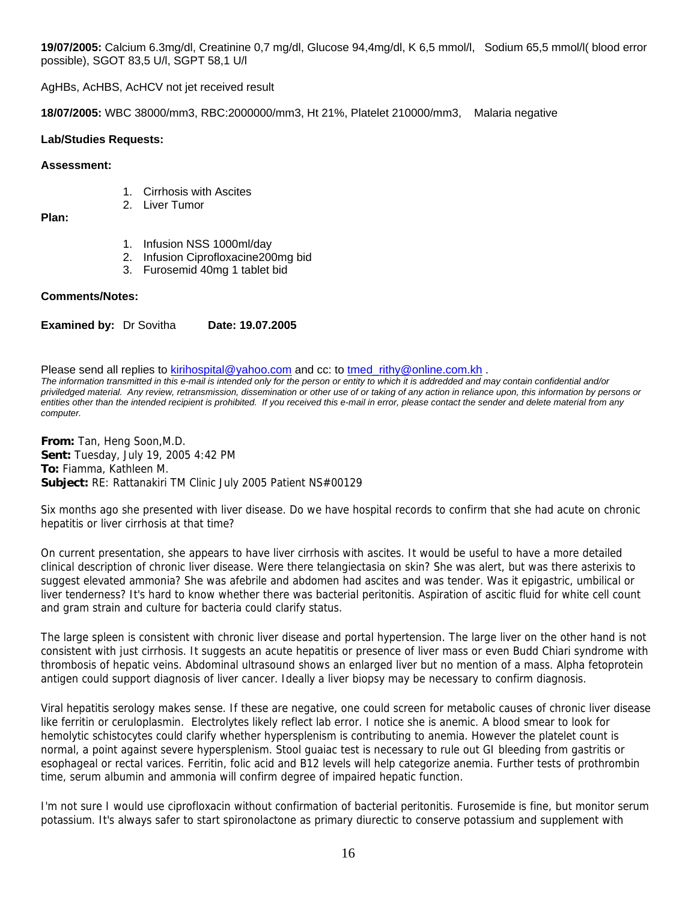**19/07/2005:** Calcium 6.3mg/dl, Creatinine 0,7 mg/dl, Glucose 94,4mg/dl, K 6,5 mmol/l, Sodium 65,5 mmol/l( blood error possible), SGOT 83,5 U/l, SGPT 58,1 U/l

AgHBs, AcHBS, AcHCV not jet received result

**18/07/2005:** WBC 38000/mm3, RBC:2000000/mm3, Ht 21%, Platelet 210000/mm3, Malaria negative

#### **Lab/Studies Requests:**

#### **Assessment:**

- 1. Cirrhosis with Ascites
- 2. Liver Tumor

#### **Plan:**

- 1. Infusion NSS 1000ml/day
- 2. Infusion Ciprofloxacine200mg bid
- 3. Furosemid 40mg 1 tablet bid

#### **Comments/Notes:**

**Examined by: Dr Sovitha Date: 19.07.2005** 

Please send all replies to kirihospital@yahoo.com and cc: to tmed\_rithy@online.com.kh . *The information transmitted in this e-mail is intended only for the person or entity to which it is addredded and may contain confidential and/or priviledged material. Any review, retransmission, dissemination or other use of or taking of any action in reliance upon, this information by persons or*  entities other than the intended recipient is prohibited. If you received this e-mail in error, please contact the sender and delete material from any *computer.*

**From:** Tan, Heng Soon,M.D. **Sent:** Tuesday, July 19, 2005 4:42 PM **To:** Fiamma, Kathleen M. **Subject:** RE: Rattanakiri TM Clinic July 2005 Patient NS#00129

Six months ago she presented with liver disease. Do we have hospital records to confirm that she had acute on chronic hepatitis or liver cirrhosis at that time?

On current presentation, she appears to have liver cirrhosis with ascites. It would be useful to have a more detailed clinical description of chronic liver disease. Were there telangiectasia on skin? She was alert, but was there asterixis to suggest elevated ammonia? She was afebrile and abdomen had ascites and was tender. Was it epigastric, umbilical or liver tenderness? It's hard to know whether there was bacterial peritonitis. Aspiration of ascitic fluid for white cell count and gram strain and culture for bacteria could clarify status.

The large spleen is consistent with chronic liver disease and portal hypertension. The large liver on the other hand is not consistent with just cirrhosis. It suggests an acute hepatitis or presence of liver mass or even Budd Chiari syndrome with thrombosis of hepatic veins. Abdominal ultrasound shows an enlarged liver but no mention of a mass. Alpha fetoprotein antigen could support diagnosis of liver cancer. Ideally a liver biopsy may be necessary to confirm diagnosis.

Viral hepatitis serology makes sense. If these are negative, one could screen for metabolic causes of chronic liver disease like ferritin or ceruloplasmin. Electrolytes likely reflect lab error. I notice she is anemic. A blood smear to look for hemolytic schistocytes could clarify whether hypersplenism is contributing to anemia. However the platelet count is normal, a point against severe hypersplenism. Stool guaiac test is necessary to rule out GI bleeding from gastritis or esophageal or rectal varices. Ferritin, folic acid and B12 levels will help categorize anemia. Further tests of prothrombin time, serum albumin and ammonia will confirm degree of impaired hepatic function.

I'm not sure I would use ciprofloxacin without confirmation of bacterial peritonitis. Furosemide is fine, but monitor serum potassium. It's always safer to start spironolactone as primary diurectic to conserve potassium and supplement with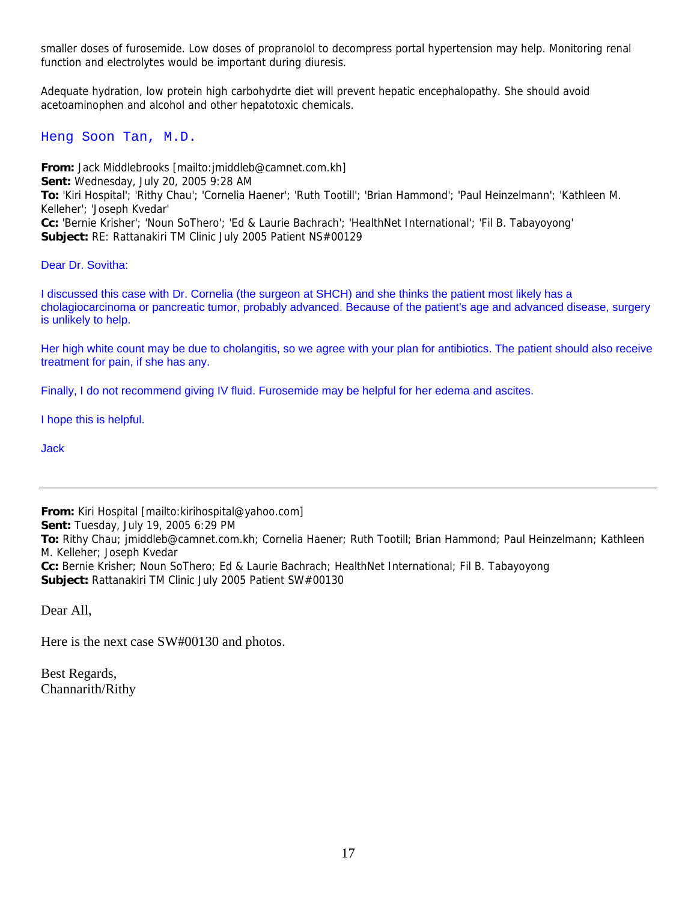smaller doses of furosemide. Low doses of propranolol to decompress portal hypertension may help. Monitoring renal function and electrolytes would be important during diuresis.

Adequate hydration, low protein high carbohydrte diet will prevent hepatic encephalopathy. She should avoid acetoaminophen and alcohol and other hepatotoxic chemicals.

Heng Soon Tan, M.D.

**From:** Jack Middlebrooks [mailto:jmiddleb@camnet.com.kh] **Sent:** Wednesday, July 20, 2005 9:28 AM **To:** 'Kiri Hospital'; 'Rithy Chau'; 'Cornelia Haener'; 'Ruth Tootill'; 'Brian Hammond'; 'Paul Heinzelmann'; 'Kathleen M. Kelleher'; 'Joseph Kvedar' **Cc:** 'Bernie Krisher'; 'Noun SoThero'; 'Ed & Laurie Bachrach'; 'HealthNet International'; 'Fil B. Tabayoyong' **Subject:** RE: Rattanakiri TM Clinic July 2005 Patient NS#00129

Dear Dr. Sovitha:

I discussed this case with Dr. Cornelia (the surgeon at SHCH) and she thinks the patient most likely has a cholagiocarcinoma or pancreatic tumor, probably advanced. Because of the patient's age and advanced disease, surgery is unlikely to help.

Her high white count may be due to cholangitis, so we agree with your plan for antibiotics. The patient should also receive treatment for pain, if she has any.

Finally, I do not recommend giving IV fluid. Furosemide may be helpful for her edema and ascites.

I hope this is helpful.

Jack

**From:** Kiri Hospital [mailto:kirihospital@yahoo.com] **Sent:** Tuesday, July 19, 2005 6:29 PM **To:** Rithy Chau; jmiddleb@camnet.com.kh; Cornelia Haener; Ruth Tootill; Brian Hammond; Paul Heinzelmann; Kathleen M. Kelleher; Joseph Kvedar **Cc:** Bernie Krisher; Noun SoThero; Ed & Laurie Bachrach; HealthNet International; Fil B. Tabayoyong **Subject:** Rattanakiri TM Clinic July 2005 Patient SW#00130

Dear All,

Here is the next case SW#00130 and photos.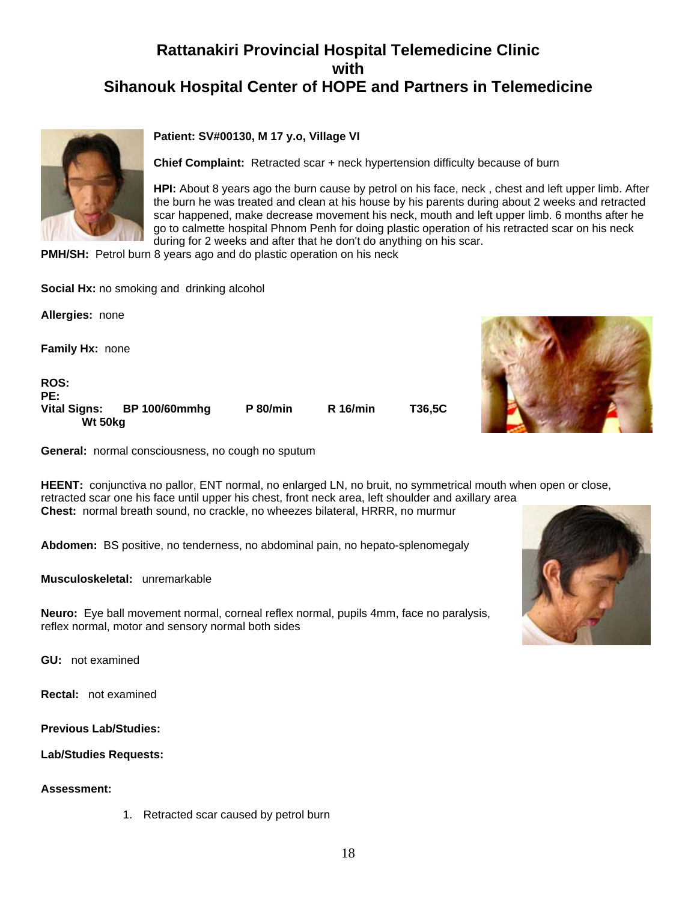

#### **Patient: SV#00130, M 17 y.o, Village VI**

**Chief Complaint:** Retracted scar + neck hypertension difficulty because of burn

**HPI:** About 8 years ago the burn cause by petrol on his face, neck , chest and left upper limb. After the burn he was treated and clean at his house by his parents during about 2 weeks and retracted scar happened, make decrease movement his neck, mouth and left upper limb. 6 months after he go to calmette hospital Phnom Penh for doing plastic operation of his retracted scar on his neck during for 2 weeks and after that he don't do anything on his scar.

**PMH/SH:** Petrol burn 8 years ago and do plastic operation on his neck

|                                | <b>Social TIA.</b> The Sillening and diffining alcohol |                 |                 |        |  |
|--------------------------------|--------------------------------------------------------|-----------------|-----------------|--------|--|
| Allergies: none                |                                                        |                 |                 |        |  |
| Family Hx: none                |                                                        |                 |                 |        |  |
| <b>ROS:</b><br>PE:             |                                                        |                 |                 |        |  |
| <b>Vital Signs:</b><br>Wt 50kg | <b>BP 100/60mmhg</b>                                   | <b>P</b> 80/min | <b>R</b> 16/min | T36,5C |  |



**General:** normal consciousness, no cough no sputum

**Social Hx:** no smoking and drinking alcohol

**HEENT:** conjunctiva no pallor, ENT normal, no enlarged LN, no bruit, no symmetrical mouth when open or close, retracted scar one his face until upper his chest, front neck area, left shoulder and axillary area **Chest:** normal breath sound, no crackle, no wheezes bilateral, HRRR, no murmur

**Abdomen:** BS positive, no tenderness, no abdominal pain, no hepato-splenomegaly

**Musculoskeletal:** unremarkable

**Neuro:** Eye ball movement normal, corneal reflex normal, pupils 4mm, face no paralysis, reflex normal, motor and sensory normal both sides

**GU:** not examined

**Rectal:** not examined

**Previous Lab/Studies:** 

**Lab/Studies Requests:**

#### **Assessment:**

1. Retracted scar caused by petrol burn

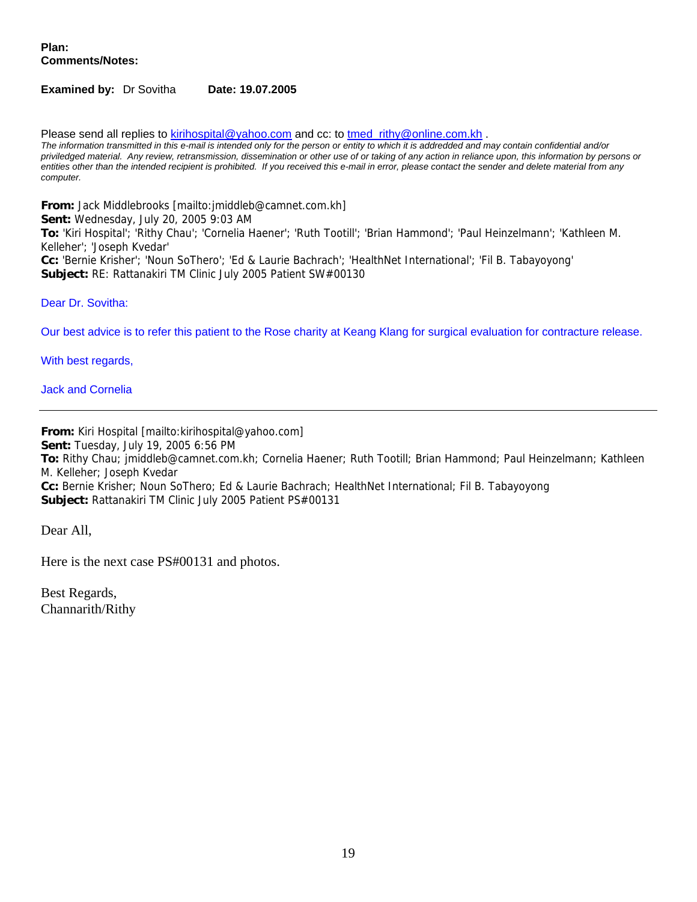**Plan: Comments/Notes:**

#### **Examined by:** Dr Sovitha **Date: 19.07.2005**

Please send all replies to kirihospital@yahoo.com and cc: to tmed\_rithy@online.com.kh . *The information transmitted in this e-mail is intended only for the person or entity to which it is addredded and may contain confidential and/or priviledged material. Any review, retransmission, dissemination or other use of or taking of any action in reliance upon, this information by persons or entities other than the intended recipient is prohibited. If you received this e-mail in error, please contact the sender and delete material from any computer.*

**From:** Jack Middlebrooks [mailto:jmiddleb@camnet.com.kh] **Sent:** Wednesday, July 20, 2005 9:03 AM **To:** 'Kiri Hospital'; 'Rithy Chau'; 'Cornelia Haener'; 'Ruth Tootill'; 'Brian Hammond'; 'Paul Heinzelmann'; 'Kathleen M. Kelleher'; 'Joseph Kvedar' **Cc:** 'Bernie Krisher'; 'Noun SoThero'; 'Ed & Laurie Bachrach'; 'HealthNet International'; 'Fil B. Tabayoyong' **Subject:** RE: Rattanakiri TM Clinic July 2005 Patient SW#00130

Dear Dr. Sovitha:

Our best advice is to refer this patient to the Rose charity at Keang Klang for surgical evaluation for contracture release.

With best regards,

Jack and Cornelia

**From:** Kiri Hospital [mailto:kirihospital@yahoo.com] **Sent:** Tuesday, July 19, 2005 6:56 PM **To:** Rithy Chau; jmiddleb@camnet.com.kh; Cornelia Haener; Ruth Tootill; Brian Hammond; Paul Heinzelmann; Kathleen M. Kelleher; Joseph Kvedar **Cc:** Bernie Krisher; Noun SoThero; Ed & Laurie Bachrach; HealthNet International; Fil B. Tabayoyong **Subject:** Rattanakiri TM Clinic July 2005 Patient PS#00131

Dear All,

Here is the next case PS#00131 and photos.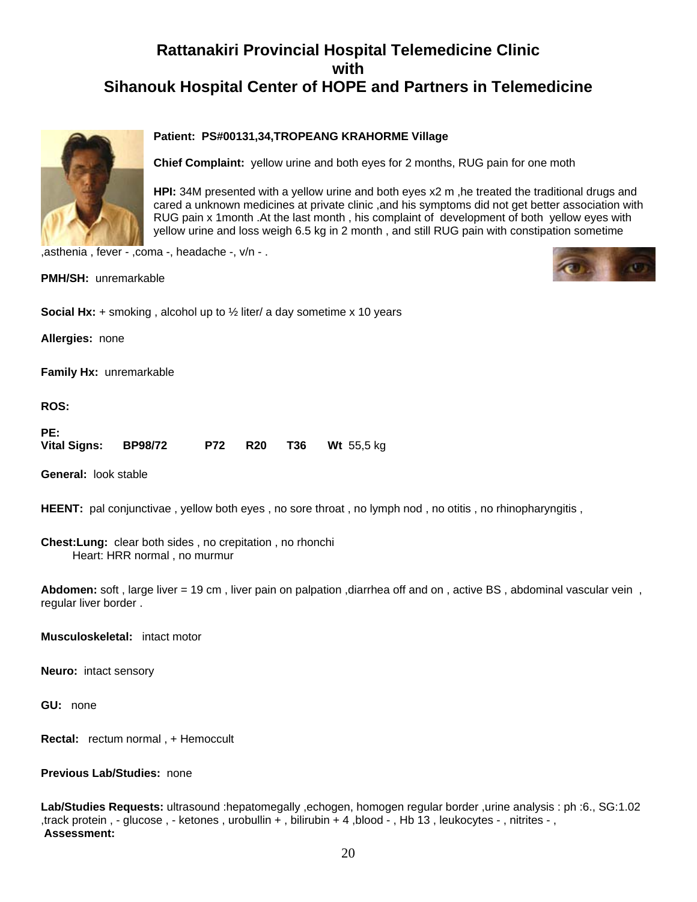

#### **Patient: PS#00131,34,TROPEANG KRAHORME Village**

**Chief Complaint:** yellow urine and both eyes for 2 months, RUG pain for one moth

**HPI:** 34M presented with a yellow urine and both eyes x2 m ,he treated the traditional drugs and cared a unknown medicines at private clinic ,and his symptoms did not get better association with RUG pain x 1month .At the last month , his complaint of development of both yellow eyes with yellow urine and loss weigh 6.5 kg in 2 month , and still RUG pain with constipation sometime

,asthenia , fever - ,coma -, headache -, v/n - .

**PMH/SH:** unremarkable



**Social Hx:** + smoking , alcohol up to ½ liter/ a day sometime x 10 years

**Allergies:** none

**Family Hx:** unremarkable

**ROS:**

| PE:                  |  |  |                               |
|----------------------|--|--|-------------------------------|
| Vital Signs: BP98/72 |  |  | <b>P72 R20 T36 Wt</b> 55,5 kg |

**General:** look stable

**HEENT:** pal conjunctivae, yellow both eyes, no sore throat, no lymph nod, no otitis, no rhinopharyngitis,

**Chest:Lung:** clear both sides , no crepitation , no rhonchi Heart: HRR normal , no murmur

**Abdomen:** soft , large liver = 19 cm , liver pain on palpation ,diarrhea off and on , active BS , abdominal vascular vein , regular liver border .

**Musculoskeletal:** intact motor

**Neuro:** intact sensory

**GU:** none

**Rectal:** rectum normal , + Hemoccult

**Previous Lab/Studies:** none

**Lab/Studies Requests:** ultrasound :hepatomegally ,echogen, homogen regular border ,urine analysis : ph :6., SG:1.02 ,track protein , - glucose , - ketones , urobullin + , bilirubin + 4 ,blood - , Hb 13 , leukocytes - , nitrites - , **Assessment:**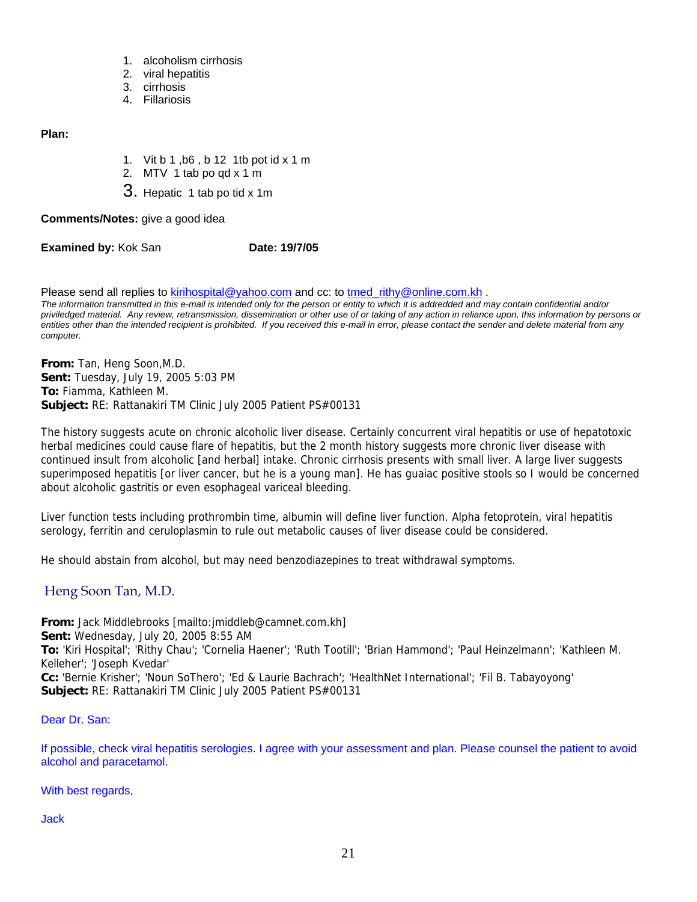- 1. alcoholism cirrhosis
- 2. viral hepatitis
- 3. cirrhosis
- 4. Fillariosis

**Plan:**

- 1. Vit b 1 ,b6 , b 12 1tb pot id x 1 m
- 2. MTV 1 tab po qd x 1 m
- 3. Hepatic 1 tab po tid x 1m

**Comments/Notes:** give a good idea

**Examined by: Kok San <b>Date: 19/7/05** 

Please send all replies to kirihospital@yahoo.com and cc: to tmed\_rithy@online.com.kh .

*The information transmitted in this e-mail is intended only for the person or entity to which it is addredded and may contain confidential and/or priviledged material. Any review, retransmission, dissemination or other use of or taking of any action in reliance upon, this information by persons or entities other than the intended recipient is prohibited. If you received this e-mail in error, please contact the sender and delete material from any computer.*

**From:** Tan, Heng Soon,M.D. **Sent:** Tuesday, July 19, 2005 5:03 PM **To:** Fiamma, Kathleen M. **Subject:** RE: Rattanakiri TM Clinic July 2005 Patient PS#00131

The history suggests acute on chronic alcoholic liver disease. Certainly concurrent viral hepatitis or use of hepatotoxic herbal medicines could cause flare of hepatitis, but the 2 month history suggests more chronic liver disease with continued insult from alcoholic [and herbal] intake. Chronic cirrhosis presents with small liver. A large liver suggests superimposed hepatitis [or liver cancer, but he is a young man]. He has guaiac positive stools so I would be concerned about alcoholic gastritis or even esophageal variceal bleeding.

Liver function tests including prothrombin time, albumin will define liver function. Alpha fetoprotein, viral hepatitis serology, ferritin and ceruloplasmin to rule out metabolic causes of liver disease could be considered.

He should abstain from alcohol, but may need benzodiazepines to treat withdrawal symptoms.

#### Heng Soon Tan, M.D.

**From:** Jack Middlebrooks [mailto:imiddleb@camnet.com.kh] **Sent:** Wednesday, July 20, 2005 8:55 AM **To:** 'Kiri Hospital'; 'Rithy Chau'; 'Cornelia Haener'; 'Ruth Tootill'; 'Brian Hammond'; 'Paul Heinzelmann'; 'Kathleen M. Kelleher'; 'Joseph Kvedar' **Cc:** 'Bernie Krisher'; 'Noun SoThero'; 'Ed & Laurie Bachrach'; 'HealthNet International'; 'Fil B. Tabayoyong'

**Subject:** RE: Rattanakiri TM Clinic July 2005 Patient PS#00131

Dear Dr. San:

If possible, check viral hepatitis serologies. I agree with your assessment and plan. Please counsel the patient to avoid alcohol and paracetamol.

With best regards,

Jack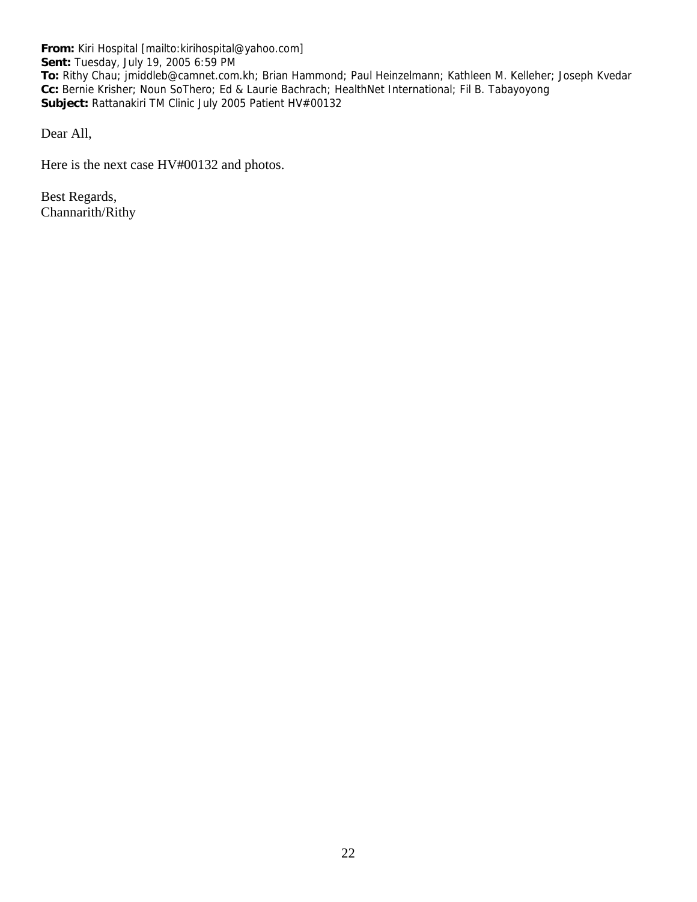**From:** Kiri Hospital [mailto:kirihospital@yahoo.com] **Sent:** Tuesday, July 19, 2005 6:59 PM **To:** Rithy Chau; jmiddleb@camnet.com.kh; Brian Hammond; Paul Heinzelmann; Kathleen M. Kelleher; Joseph Kvedar **Cc:** Bernie Krisher; Noun SoThero; Ed & Laurie Bachrach; HealthNet International; Fil B. Tabayoyong **Subject:** Rattanakiri TM Clinic July 2005 Patient HV#00132

Dear All,

Here is the next case HV#00132 and photos.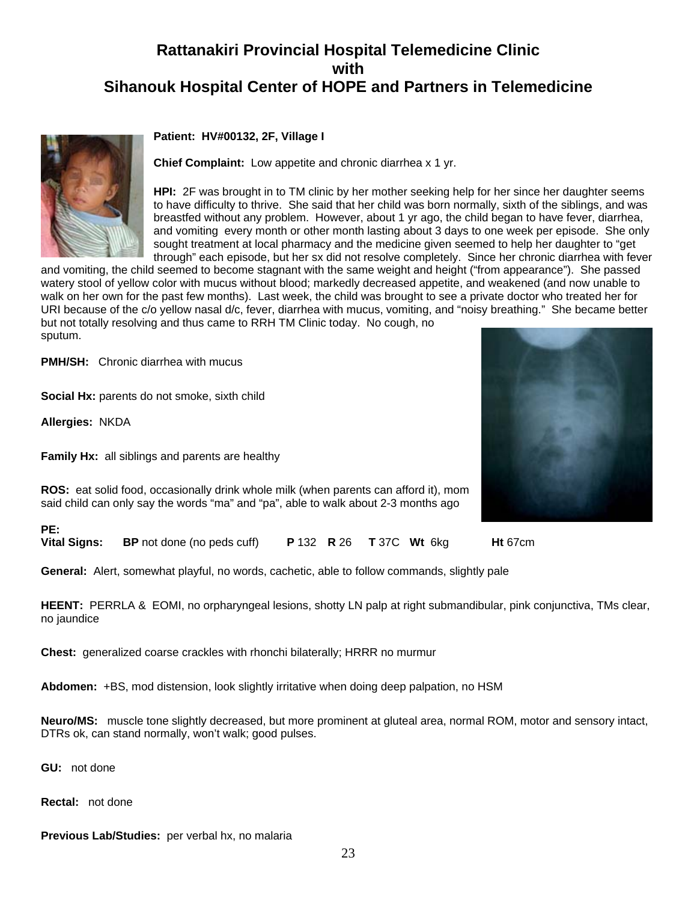

#### **Patient: HV#00132, 2F, Village I**

**Chief Complaint:** Low appetite and chronic diarrhea x 1 yr.

**HPI:** 2F was brought in to TM clinic by her mother seeking help for her since her daughter seems to have difficulty to thrive. She said that her child was born normally, sixth of the siblings, and was breastfed without any problem. However, about 1 yr ago, the child began to have fever, diarrhea, and vomiting every month or other month lasting about 3 days to one week per episode. She only sought treatment at local pharmacy and the medicine given seemed to help her daughter to "get through" each episode, but her sx did not resolve completely. Since her chronic diarrhea with fever

and vomiting, the child seemed to become stagnant with the same weight and height ("from appearance"). She passed watery stool of yellow color with mucus without blood; markedly decreased appetite, and weakened (and now unable to walk on her own for the past few months). Last week, the child was brought to see a private doctor who treated her for URI because of the c/o yellow nasal d/c, fever, diarrhea with mucus, vomiting, and "noisy breathing." She became better but not totally resolving and thus came to RRH TM Clinic today. No cough, no sputum.

**PMH/SH:** Chronic diarrhea with mucus

**Social Hx:** parents do not smoke, sixth child

**Allergies:** NKDA

**Family Hx:** all siblings and parents are healthy



**ROS:** eat solid food, occasionally drink whole milk (when parents can afford it), mom said child can only say the words "ma" and "pa", able to walk about 2-3 months ago

**PE:** 

**Vital Signs: BP** not done (no peds cuff) **P** 132 **R** 26 **T** 37C **Wt** 6kg **Ht** 67cm

**General:** Alert, somewhat playful, no words, cachetic, able to follow commands, slightly pale

**HEENT:** PERRLA & EOMI, no orpharyngeal lesions, shotty LN palp at right submandibular, pink conjunctiva, TMs clear, no jaundice

**Chest:** generalized coarse crackles with rhonchi bilaterally; HRRR no murmur

**Abdomen:** +BS, mod distension, look slightly irritative when doing deep palpation, no HSM

**Neuro/MS:** muscle tone slightly decreased, but more prominent at gluteal area, normal ROM, motor and sensory intact, DTRs ok, can stand normally, won't walk; good pulses.

**GU:** not done

**Rectal:** not done

**Previous Lab/Studies:** per verbal hx, no malaria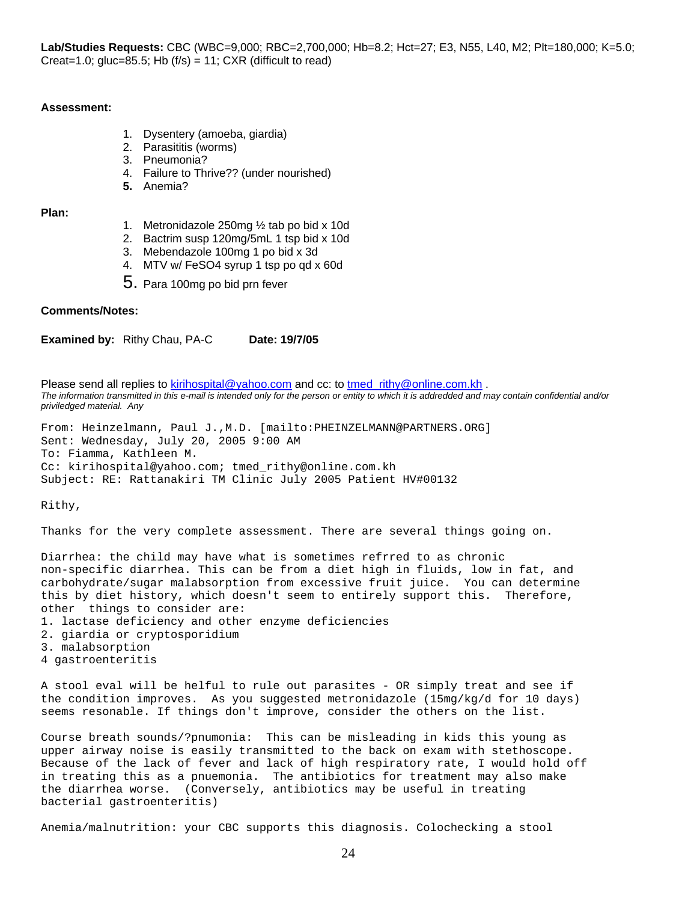#### **Assessment:**

- 1. Dysentery (amoeba, giardia)
- 2. Parasititis (worms)
- 3. Pneumonia?
- 4. Failure to Thrive?? (under nourished)
- **5.** Anemia?

**Plan:**

- 1. Metronidazole 250mg ½ tab po bid x 10d
- 2. Bactrim susp 120mg/5mL 1 tsp bid x 10d
- 3. Mebendazole 100mg 1 po bid x 3d
- 4. MTV w/ FeSO4 syrup 1 tsp po qd x 60d
- 5. Para 100mg po bid prn fever

#### **Comments/Notes:**

**Examined by:** Rithy Chau, PA-C **Date: 19/7/05** 

Please send all replies to kirihospital@yahoo.com and cc: to tmed rithy@online.com.kh . *The information transmitted in this e-mail is intended only for the person or entity to which it is addredded and may contain confidential and/or priviledged material. Any* 

From: Heinzelmann, Paul J.,M.D. [mailto:PHEINZELMANN@PARTNERS.ORG] Sent: Wednesday, July 20, 2005 9:00 AM To: Fiamma, Kathleen M. Cc: kirihospital@yahoo.com; tmed\_rithy@online.com.kh Subject: RE: Rattanakiri TM Clinic July 2005 Patient HV#00132

Rithy,

Thanks for the very complete assessment. There are several things going on.

Diarrhea: the child may have what is sometimes refrred to as chronic non-specific diarrhea. This can be from a diet high in fluids, low in fat, and carbohydrate/sugar malabsorption from excessive fruit juice. You can determine this by diet history, which doesn't seem to entirely support this. Therefore, other things to consider are:

- 1. lactase deficiency and other enzyme deficiencies
- 2. giardia or cryptosporidium
- 3. malabsorption
- 4 gastroenteritis

A stool eval will be helful to rule out parasites - OR simply treat and see if the condition improves. As you suggested metronidazole (15mg/kg/d for 10 days) seems resonable. If things don't improve, consider the others on the list.

Course breath sounds/?pnumonia: This can be misleading in kids this young as upper airway noise is easily transmitted to the back on exam with stethoscope. Because of the lack of fever and lack of high respiratory rate, I would hold off in treating this as a pnuemonia. The antibiotics for treatment may also make the diarrhea worse. (Conversely, antibiotics may be useful in treating bacterial gastroenteritis)

Anemia/malnutrition: your CBC supports this diagnosis. Colochecking a stool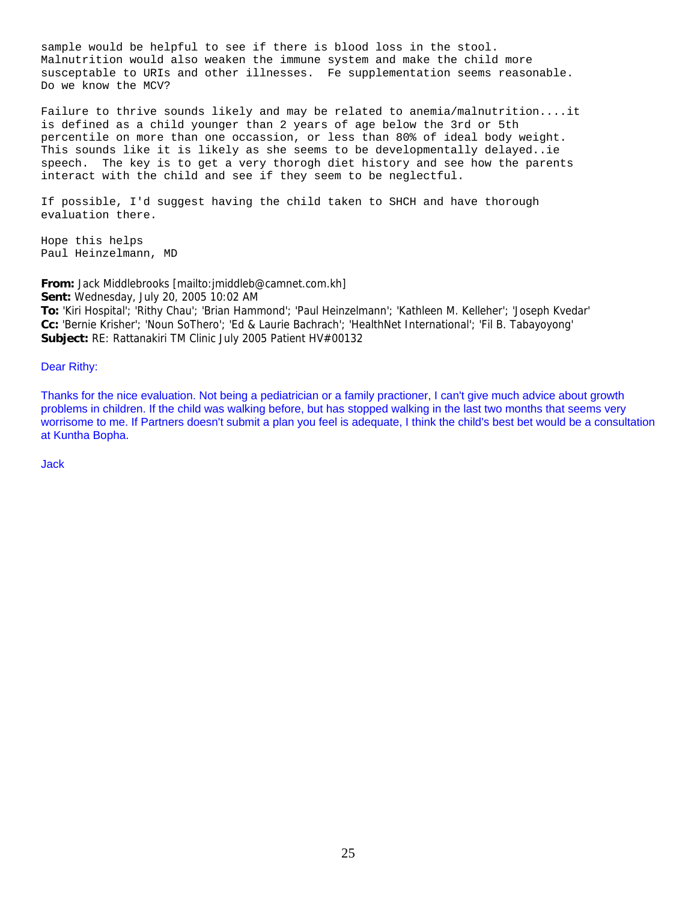sample would be helpful to see if there is blood loss in the stool. Malnutrition would also weaken the immune system and make the child more susceptable to URIs and other illnesses. Fe supplementation seems reasonable. Do we know the MCV?

Failure to thrive sounds likely and may be related to anemia/malnutrition....it is defined as a child younger than 2 years of age below the 3rd or 5th percentile on more than one occassion, or less than 80% of ideal body weight. This sounds like it is likely as she seems to be developmentally delayed..ie speech. The key is to get a very thorogh diet history and see how the parents interact with the child and see if they seem to be neglectful.

If possible, I'd suggest having the child taken to SHCH and have thorough evaluation there.

Hope this helps Paul Heinzelmann, MD

**From:** Jack Middlebrooks [mailto:jmiddleb@camnet.com.kh] **Sent:** Wednesday, July 20, 2005 10:02 AM **To:** 'Kiri Hospital'; 'Rithy Chau'; 'Brian Hammond'; 'Paul Heinzelmann'; 'Kathleen M. Kelleher'; 'Joseph Kvedar' **Cc:** 'Bernie Krisher'; 'Noun SoThero'; 'Ed & Laurie Bachrach'; 'HealthNet International'; 'Fil B. Tabayoyong' **Subject:** RE: Rattanakiri TM Clinic July 2005 Patient HV#00132

#### Dear Rithy:

Thanks for the nice evaluation. Not being a pediatrician or a family practioner, I can't give much advice about growth problems in children. If the child was walking before, but has stopped walking in the last two months that seems very worrisome to me. If Partners doesn't submit a plan you feel is adequate, I think the child's best bet would be a consultation at Kuntha Bopha.

Jack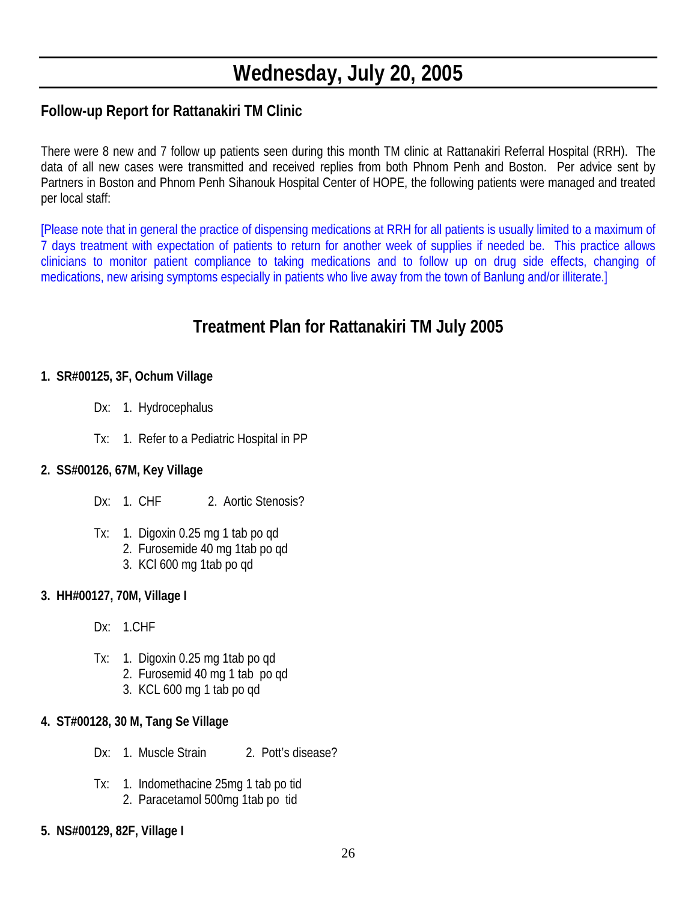# **Wednesday, July 20, 2005**

### **Follow-up Report for Rattanakiri TM Clinic**

There were 8 new and 7 follow up patients seen during this month TM clinic at Rattanakiri Referral Hospital (RRH). The data of all new cases were transmitted and received replies from both Phnom Penh and Boston. Per advice sent by Partners in Boston and Phnom Penh Sihanouk Hospital Center of HOPE, the following patients were managed and treated per local staff:

[Please note that in general the practice of dispensing medications at RRH for all patients is usually limited to a maximum of 7 days treatment with expectation of patients to return for another week of supplies if needed be. This practice allows clinicians to monitor patient compliance to taking medications and to follow up on drug side effects, changing of medications, new arising symptoms especially in patients who live away from the town of Banlung and/or illiterate.]

## **Treatment Plan for Rattanakiri TM July 2005**

#### **1. SR#00125, 3F, Ochum Village**

- Dx: 1. Hydrocephalus
- Tx: 1. Refer to a Pediatric Hospital in PP

### **2. SS#00126, 67M, Key Village**

- Dx: 1. CHF 2. Aortic Stenosis?
- Tx: 1. Digoxin 0.25 mg 1 tab po qd
	- 2. Furosemide 40 mg 1tab po qd
	- 3. KCl 600 mg 1tab po qd

### **3. HH#00127, 70M, Village I**

- Dx: 1.CHF
- Tx: 1. Digoxin 0.25 mg 1tab po qd
	- 2. Furosemid 40 mg 1 tab po qd
	- 3. KCL 600 mg 1 tab po qd

### **4. ST#00128, 30 M, Tang Se Village**

- Dx: 1. Muscle Strain 2. Pott's disease?
- Tx: 1. Indomethacine 25mg 1 tab po tid 2. Paracetamol 500mg 1tab po tid
- **5. NS#00129, 82F, Village I**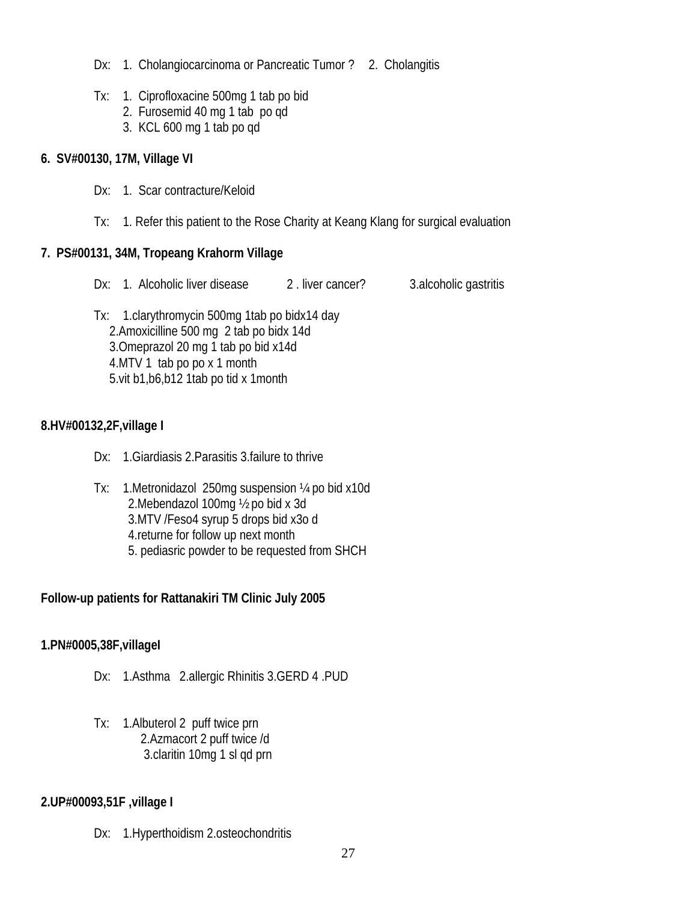- Dx: 1. Cholangiocarcinoma or Pancreatic Tumor? 2. Cholangitis
- Tx: 1. Ciprofloxacine 500mg 1 tab po bid
	- 2. Furosemid 40 mg 1 tab po qd
	- 3. KCL 600 mg 1 tab po qd

#### **6. SV#00130, 17M, Village VI**

- Dx: 1. Scar contracture/Keloid
- Tx: 1. Refer this patient to the Rose Charity at Keang Klang for surgical evaluation

### **7. PS#00131, 34M, Tropeang Krahorm Village**

Dx: 1. Alcoholic liver disease 2. liver cancer? 3.alcoholic gastritis

 Tx: 1.clarythromycin 500mg 1tab po bidx14 day 2.Amoxicilline 500 mg 2 tab po bidx 14d 3.Omeprazol 20 mg 1 tab po bid x14d 4.MTV 1 tab po po x 1 month 5.vit b1,b6,b12 1tab po tid x 1month

### **8.HV#00132,2F,village I**

- Dx: 1.Giardiasis 2.Parasitis 3.failure to thrive
- Tx: 1.Metronidazol 250mg suspension ¼ po bid x10d 2.Mebendazol 100mg ½ po bid x 3d 3.MTV /Feso4 syrup 5 drops bid x3o d 4.returne for follow up next month 5. pediasric powder to be requested from SHCH

### **Follow-up patients for Rattanakiri TM Clinic July 2005**

### **1.PN#0005,38F,villageI**

- Dx: 1.Asthma 2.allergic Rhinitis 3.GERD 4 .PUD
- Tx: 1.Albuterol 2 puff twice prn 2.Azmacort 2 puff twice /d 3.claritin 10mg 1 sl qd prn

### **2.UP#00093,51F ,village I**

Dx: 1.Hyperthoidism 2.osteochondritis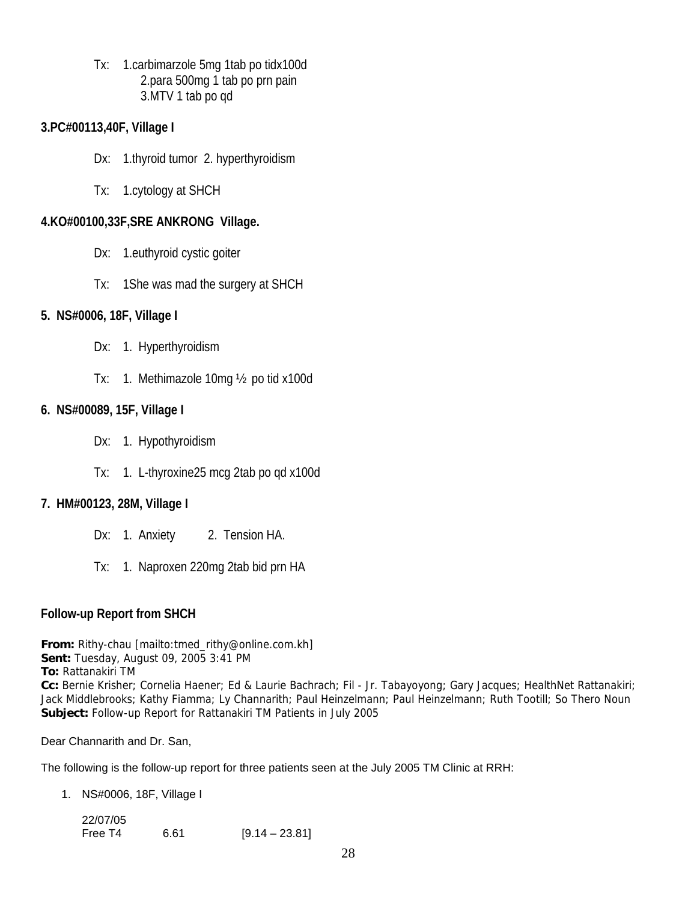Tx: 1.carbimarzole 5mg 1tab po tidx100d 2.para 500mg 1 tab po prn pain 3.MTV 1 tab po qd

#### **3.PC#00113,40F, Village I**

- Dx: 1.thyroid tumor 2. hyperthyroidism
- Tx: 1.cytology at SHCH

#### **4.KO#00100,33F,SRE ANKRONG Village.**

- Dx: 1.euthyroid cystic goiter
- Tx: 1She was mad the surgery at SHCH

#### **5. NS#0006, 18F, Village I**

- Dx: 1. Hyperthyroidism
- Tx: 1. Methimazole 10mg ½ po tid x100d

#### **6. NS#00089, 15F, Village I**

- Dx: 1. Hypothyroidism
- Tx: 1. L-thyroxine25 mcg 2tab po qd x100d

### **7. HM#00123, 28M, Village I**

- Dx: 1. Anxiety 2. Tension HA.
- Tx: 1. Naproxen 220mg 2tab bid prn HA

### **Follow-up Report from SHCH**

**From:** Rithy-chau [mailto:tmed\_rithy@online.com.kh] **Sent:** Tuesday, August 09, 2005 3:41 PM **To:** Rattanakiri TM **Cc:** Bernie Krisher; Cornelia Haener; Ed & Laurie Bachrach; Fil - Jr. Tabayoyong; Gary Jacques; HealthNet Rattanakiri; Jack Middlebrooks; Kathy Fiamma; Ly Channarith; Paul Heinzelmann; Paul Heinzelmann; Ruth Tootill; So Thero Noun **Subject:** Follow-up Report for Rattanakiri TM Patients in July 2005

Dear Channarith and Dr. San,

The following is the follow-up report for three patients seen at the July 2005 TM Clinic at RRH:

1. NS#0006, 18F, Village I

| 22/07/05 |      |                  |
|----------|------|------------------|
| Free T4  | 6.61 | $[9.14 - 23.81]$ |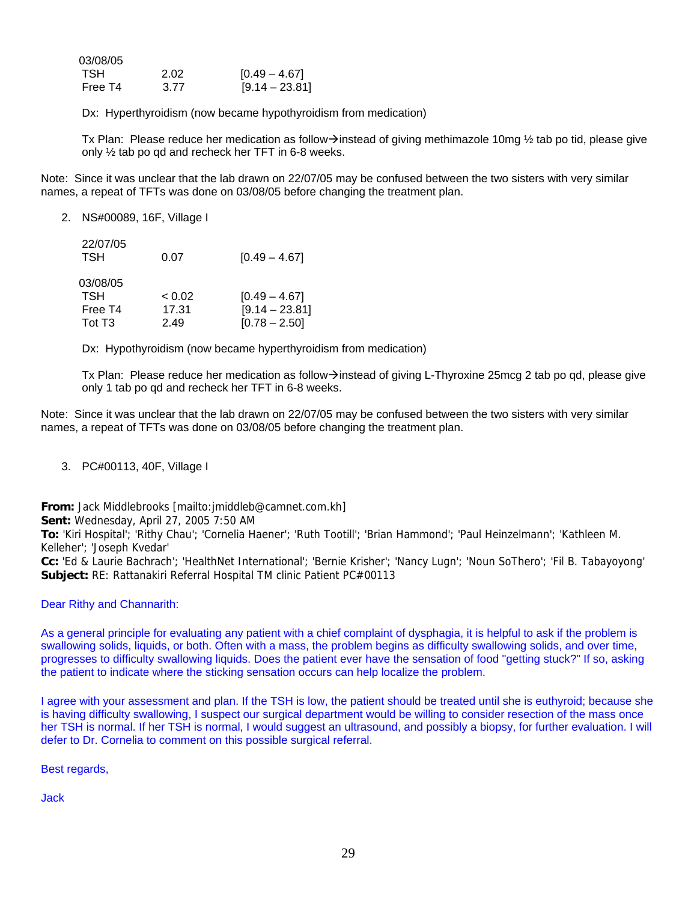| 03/08/05 |      |                  |
|----------|------|------------------|
| TSH      | 2.02 | $[0.49 - 4.67]$  |
| Free T4  | 3.77 | $[9.14 - 23.81]$ |

Dx: Hyperthyroidism (now became hypothyroidism from medication)

Tx Plan: Please reduce her medication as follow $\rightarrow$ instead of giving methimazole 10mg ½ tab po tid, please give only ½ tab po qd and recheck her TFT in 6-8 weeks.

Note: Since it was unclear that the lab drawn on 22/07/05 may be confused between the two sisters with very similar names, a repeat of TFTs was done on 03/08/05 before changing the treatment plan.

2. NS#00089, 16F, Village I

| 22/07/05<br>TSH    | 0.07   | $[0.49 - 4.67]$  |
|--------------------|--------|------------------|
| 03/08/05           |        |                  |
| TSH                | < 0.02 | $[0.49 - 4.67]$  |
| Free T4            | 17.31  | $[9.14 - 23.81]$ |
| Tot T <sub>3</sub> | 2.49   | $[0.78 - 2.50]$  |

Dx: Hypothyroidism (now became hyperthyroidism from medication)

Tx Plan: Please reduce her medication as follow $\rightarrow$ instead of giving L-Thyroxine 25mcg 2 tab po qd, please give only 1 tab po qd and recheck her TFT in 6-8 weeks.

Note: Since it was unclear that the lab drawn on 22/07/05 may be confused between the two sisters with very similar names, a repeat of TFTs was done on 03/08/05 before changing the treatment plan.

3. PC#00113, 40F, Village I

**From:** Jack Middlebrooks [mailto:jmiddleb@camnet.com.kh]

**Sent:** Wednesday, April 27, 2005 7:50 AM

**To:** 'Kiri Hospital'; 'Rithy Chau'; 'Cornelia Haener'; 'Ruth Tootill'; 'Brian Hammond'; 'Paul Heinzelmann'; 'Kathleen M. Kelleher'; 'Joseph Kvedar'

**Cc:** 'Ed & Laurie Bachrach'; 'HealthNet International'; 'Bernie Krisher'; 'Nancy Lugn'; 'Noun SoThero'; 'Fil B. Tabayoyong' **Subject:** RE: Rattanakiri Referral Hospital TM clinic Patient PC#00113

Dear Rithy and Channarith:

As a general principle for evaluating any patient with a chief complaint of dysphagia, it is helpful to ask if the problem is swallowing solids, liquids, or both. Often with a mass, the problem begins as difficulty swallowing solids, and over time, progresses to difficulty swallowing liquids. Does the patient ever have the sensation of food "getting stuck?" If so, asking the patient to indicate where the sticking sensation occurs can help localize the problem.

I agree with your assessment and plan. If the TSH is low, the patient should be treated until she is euthyroid; because she is having difficulty swallowing, I suspect our surgical department would be willing to consider resection of the mass once her TSH is normal. If her TSH is normal, I would suggest an ultrasound, and possibly a biopsy, for further evaluation. I will defer to Dr. Cornelia to comment on this possible surgical referral.

Best regards,

Jack